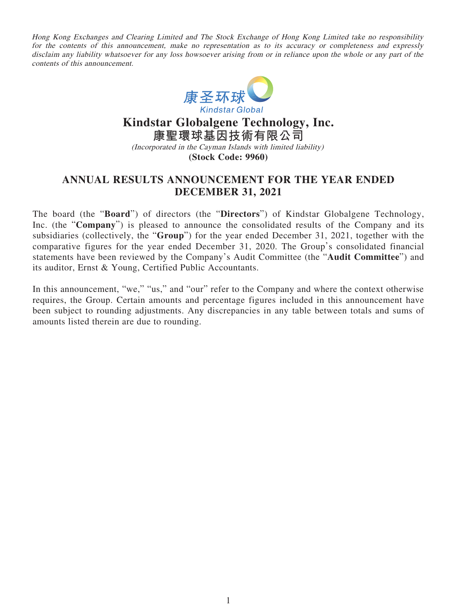Hong Kong Exchanges and Clearing Limited and The Stock Exchange of Hong Kong Limited take no responsibility for the contents of this announcement, make no representation as to its accuracy or completeness and expressly disclaim any liability whatsoever for any loss howsoever arising from or in reliance upon the whole or any part of the contents of this announcement.



# **Kindstar Globalgene Technology, Inc. 康聖環球基因技術有限公司** (Incorporated in the Cayman Islands with limited liability) **(Stock Code: 9960)**

# **ANNUAL RESULTS ANNOUNCEMENT FOR THE YEAR ENDED DECEMBER 31, 2021**

The board (the "**Board**") of directors (the "**Directors**") of Kindstar Globalgene Technology, Inc. (the "**Company**") is pleased to announce the consolidated results of the Company and its subsidiaries (collectively, the "**Group**") for the year ended December 31, 2021, together with the comparative figures for the year ended December 31, 2020. The Group's consolidated financial statements have been reviewed by the Company's Audit Committee (the "**Audit Committee**") and its auditor, Ernst & Young, Certified Public Accountants.

In this announcement, "we," "us," and "our" refer to the Company and where the context otherwise requires, the Group. Certain amounts and percentage figures included in this announcement have been subject to rounding adjustments. Any discrepancies in any table between totals and sums of amounts listed therein are due to rounding.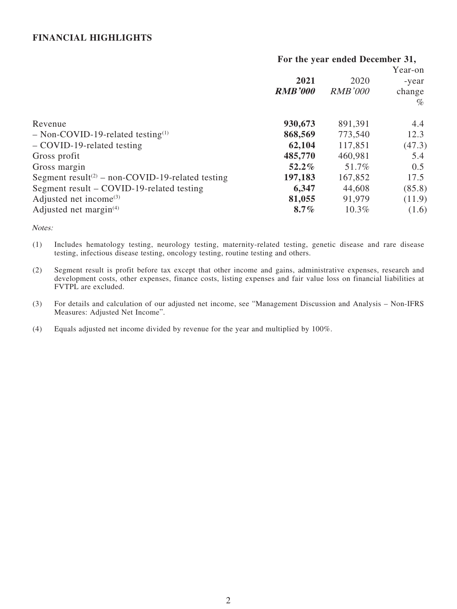## **FINANCIAL HIGHLIGHTS**

### **For the year ended December 31,**

|                |                | Year-on |
|----------------|----------------|---------|
| 2021           | 2020           | -year   |
| <b>RMB'000</b> | <b>RMB'000</b> | change  |
|                |                | $\%$    |
| 930,673        | 891,391        | 4.4     |
| 868,569        | 773,540        | 12.3    |
| 62,104         | 117,851        | (47.3)  |
| 485,770        | 460,981        | 5.4     |
| $52.2\%$       | 51.7%          | 0.5     |
| 197,183        | 167,852        | 17.5    |
| 6,347          | 44,608         | (85.8)  |
| 81,055         | 91,979         | (11.9)  |
| $8.7\%$        | 10.3%          | (1.6)   |
|                |                |         |

Notes:

- (1) Includes hematology testing, neurology testing, maternity-related testing, genetic disease and rare disease testing, infectious disease testing, oncology testing, routine testing and others.
- (2) Segment result is profit before tax except that other income and gains, administrative expenses, research and development costs, other expenses, finance costs, listing expenses and fair value loss on financial liabilities at FVTPL are excluded.
- (3) For details and calculation of our adjusted net income, see "Management Discussion and Analysis Non-IFRS Measures: Adjusted Net Income".
- (4) Equals adjusted net income divided by revenue for the year and multiplied by 100%.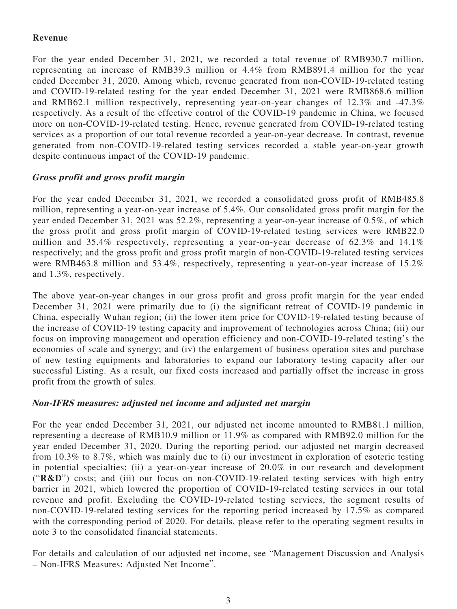## **Revenue**

For the year ended December 31, 2021, we recorded a total revenue of RMB930.7 million, representing an increase of RMB39.3 million or 4.4% from RMB891.4 million for the year ended December 31, 2020. Among which, revenue generated from non-COVID-19-related testing and COVID-19-related testing for the year ended December 31, 2021 were RMB868.6 million and RMB62.1 million respectively, representing year-on-year changes of 12.3% and -47.3% respectively. As a result of the effective control of the COVID-19 pandemic in China, we focused more on non-COVID-19-related testing. Hence, revenue generated from COVID-19-related testing services as a proportion of our total revenue recorded a year-on-year decrease. In contrast, revenue generated from non-COVID-19-related testing services recorded a stable year-on-year growth despite continuous impact of the COVID-19 pandemic.

# **Gross profit and gross profit margin**

For the year ended December 31, 2021, we recorded a consolidated gross profit of RMB485.8 million, representing a year-on-year increase of 5.4%. Our consolidated gross profit margin for the year ended December 31, 2021 was 52.2%, representing a year-on-year increase of 0.5%, of which the gross profit and gross profit margin of COVID-19-related testing services were RMB22.0 million and 35.4% respectively, representing a year-on-year decrease of 62.3% and 14.1% respectively; and the gross profit and gross profit margin of non-COVID-19-related testing services were RMB463.8 million and 53.4%, respectively, representing a year-on-year increase of 15.2% and 1.3%, respectively.

The above year-on-year changes in our gross profit and gross profit margin for the year ended December 31, 2021 were primarily due to (i) the significant retreat of COVID-19 pandemic in China, especially Wuhan region; (ii) the lower item price for COVID-19-related testing because of the increase of COVID-19 testing capacity and improvement of technologies across China; (iii) our focus on improving management and operation efficiency and non-COVID-19-related testing's the economies of scale and synergy; and (iv) the enlargement of business operation sites and purchase of new testing equipments and laboratories to expand our laboratory testing capacity after our successful Listing. As a result, our fixed costs increased and partially offset the increase in gross profit from the growth of sales.

## **Non-IFRS measures: adjusted net income and adjusted net margin**

For the year ended December 31, 2021, our adjusted net income amounted to RMB81.1 million, representing a decrease of RMB10.9 million or 11.9% as compared with RMB92.0 million for the year ended December 31, 2020. During the reporting period, our adjusted net margin decreased from 10.3% to 8.7%, which was mainly due to (i) our investment in exploration of esoteric testing in potential specialties; (ii) a year-on-year increase of 20.0% in our research and development ("**R&D**") costs; and (iii) our focus on non-COVID-19-related testing services with high entry barrier in 2021, which lowered the proportion of COVID-19-related testing services in our total revenue and profit. Excluding the COVID-19-related testing services, the segment results of non-COVID-19-related testing services for the reporting period increased by 17.5% as compared with the corresponding period of 2020. For details, please refer to the operating segment results in note 3 to the consolidated financial statements.

For details and calculation of our adjusted net income, see "Management Discussion and Analysis – Non-IFRS Measures: Adjusted Net Income".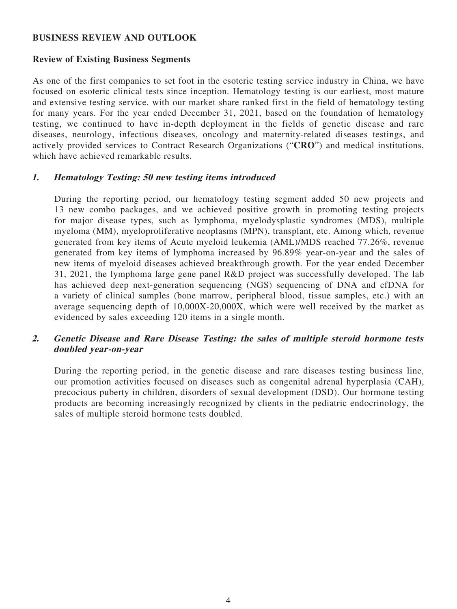## **BUSINESS REVIEW AND OUTLOOK**

## **Review of Existing Business Segments**

As one of the first companies to set foot in the esoteric testing service industry in China, we have focused on esoteric clinical tests since inception. Hematology testing is our earliest, most mature and extensive testing service. with our market share ranked first in the field of hematology testing for many years. For the year ended December 31, 2021, based on the foundation of hematology testing, we continued to have in-depth deployment in the fields of genetic disease and rare diseases, neurology, infectious diseases, oncology and maternity-related diseases testings, and actively provided services to Contract Research Organizations ("**CRO**") and medical institutions, which have achieved remarkable results.

## **1. Hematology Testing: 50 new testing items introduced**

During the reporting period, our hematology testing segment added 50 new projects and 13 new combo packages, and we achieved positive growth in promoting testing projects for major disease types, such as lymphoma, myelodysplastic syndromes (MDS), multiple myeloma (MM), myeloproliferative neoplasms (MPN), transplant, etc. Among which, revenue generated from key items of Acute myeloid leukemia (AML)/MDS reached 77.26%, revenue generated from key items of lymphoma increased by 96.89% year-on-year and the sales of new items of myeloid diseases achieved breakthrough growth. For the year ended December 31, 2021, the lymphoma large gene panel R&D project was successfully developed. The lab has achieved deep next-generation sequencing (NGS) sequencing of DNA and cfDNA for a variety of clinical samples (bone marrow, peripheral blood, tissue samples, etc.) with an average sequencing depth of 10,000X-20,000X, which were well received by the market as evidenced by sales exceeding 120 items in a single month.

## **2. Genetic Disease and Rare Disease Testing: the sales of multiple steroid hormone tests doubled year-on-year**

During the reporting period, in the genetic disease and rare diseases testing business line, our promotion activities focused on diseases such as congenital adrenal hyperplasia (CAH), precocious puberty in children, disorders of sexual development (DSD). Our hormone testing products are becoming increasingly recognized by clients in the pediatric endocrinology, the sales of multiple steroid hormone tests doubled.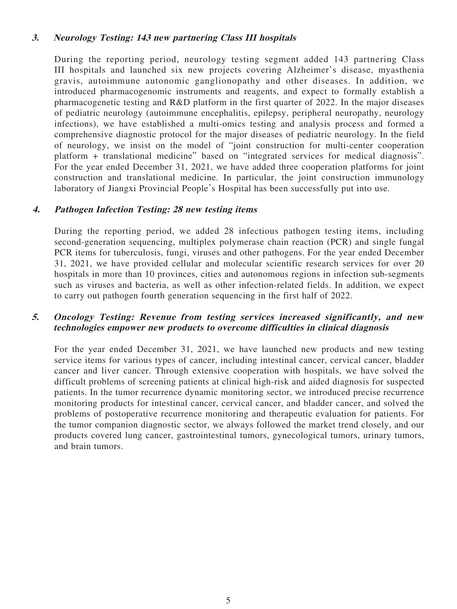## **3. Neurology Testing: 143 new partnering Class III hospitals**

During the reporting period, neurology testing segment added 143 partnering Class III hospitals and launched six new projects covering Alzheimer's disease, myasthenia gravis, autoimmune autonomic ganglionopathy and other diseases. In addition, we introduced pharmacogenomic instruments and reagents, and expect to formally establish a pharmacogenetic testing and R&D platform in the first quarter of 2022. In the major diseases of pediatric neurology (autoimmune encephalitis, epilepsy, peripheral neuropathy, neurology infections), we have established a multi-omics testing and analysis process and formed a comprehensive diagnostic protocol for the major diseases of pediatric neurology. In the field of neurology, we insist on the model of "joint construction for multi-center cooperation platform + translational medicine" based on "integrated services for medical diagnosis". For the year ended December 31, 2021, we have added three cooperation platforms for joint construction and translational medicine. In particular, the joint construction immunology laboratory of Jiangxi Provincial People's Hospital has been successfully put into use.

## **4. Pathogen Infection Testing: 28 new testing items**

During the reporting period, we added 28 infectious pathogen testing items, including second-generation sequencing, multiplex polymerase chain reaction (PCR) and single fungal PCR items for tuberculosis, fungi, viruses and other pathogens. For the year ended December 31, 2021, we have provided cellular and molecular scientific research services for over 20 hospitals in more than 10 provinces, cities and autonomous regions in infection sub-segments such as viruses and bacteria, as well as other infection-related fields. In addition, we expect to carry out pathogen fourth generation sequencing in the first half of 2022.

## **5. Oncology Testing: Revenue from testing services increased significantly, and new technologies empower new products to overcome difficulties in clinical diagnosis**

For the year ended December 31, 2021, we have launched new products and new testing service items for various types of cancer, including intestinal cancer, cervical cancer, bladder cancer and liver cancer. Through extensive cooperation with hospitals, we have solved the difficult problems of screening patients at clinical high-risk and aided diagnosis for suspected patients. In the tumor recurrence dynamic monitoring sector, we introduced precise recurrence monitoring products for intestinal cancer, cervical cancer, and bladder cancer, and solved the problems of postoperative recurrence monitoring and therapeutic evaluation for patients. For the tumor companion diagnostic sector, we always followed the market trend closely, and our products covered lung cancer, gastrointestinal tumors, gynecological tumors, urinary tumors, and brain tumors.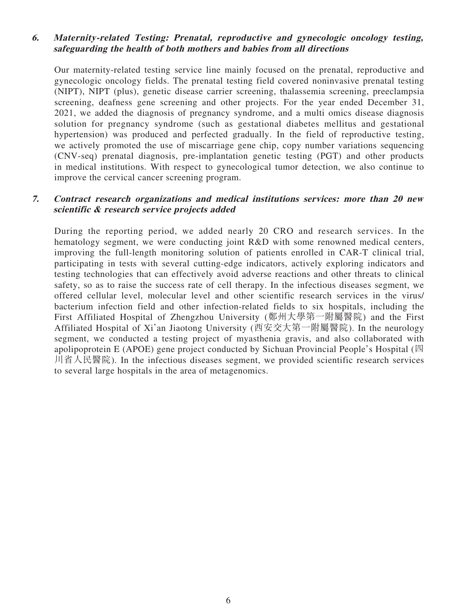## **6. Maternity-related Testing: Prenatal, reproductive and gynecologic oncology testing, safeguarding the health of both mothers and babies from all directions**

Our maternity-related testing service line mainly focused on the prenatal, reproductive and gynecologic oncology fields. The prenatal testing field covered noninvasive prenatal testing (NIPT), NIPT (plus), genetic disease carrier screening, thalassemia screening, preeclampsia screening, deafness gene screening and other projects. For the year ended December 31, 2021, we added the diagnosis of pregnancy syndrome, and a multi omics disease diagnosis solution for pregnancy syndrome (such as gestational diabetes mellitus and gestational hypertension) was produced and perfected gradually. In the field of reproductive testing, we actively promoted the use of miscarriage gene chip, copy number variations sequencing (CNV-seq) prenatal diagnosis, pre-implantation genetic testing (PGT) and other products in medical institutions. With respect to gynecological tumor detection, we also continue to improve the cervical cancer screening program.

## **7. Contract research organizations and medical institutions services: more than 20 new scientific & research service projects added**

During the reporting period, we added nearly 20 CRO and research services. In the hematology segment, we were conducting joint R&D with some renowned medical centers, improving the full-length monitoring solution of patients enrolled in CAR-T clinical trial, participating in tests with several cutting-edge indicators, actively exploring indicators and testing technologies that can effectively avoid adverse reactions and other threats to clinical safety, so as to raise the success rate of cell therapy. In the infectious diseases segment, we offered cellular level, molecular level and other scientific research services in the virus/ bacterium infection field and other infection-related fields to six hospitals, including the First Affiliated Hospital of Zhengzhou University (鄭州大學第一附屬醫院) and the First Affiliated Hospital of Xi'an Jiaotong University (西安交大第一附屬醫院). In the neurology segment, we conducted a testing project of myasthenia gravis, and also collaborated with apolipoprotein E (APOE) gene project conducted by Sichuan Provincial People's Hospital (四 川省人民醫院). In the infectious diseases segment, we provided scientific research services to several large hospitals in the area of metagenomics.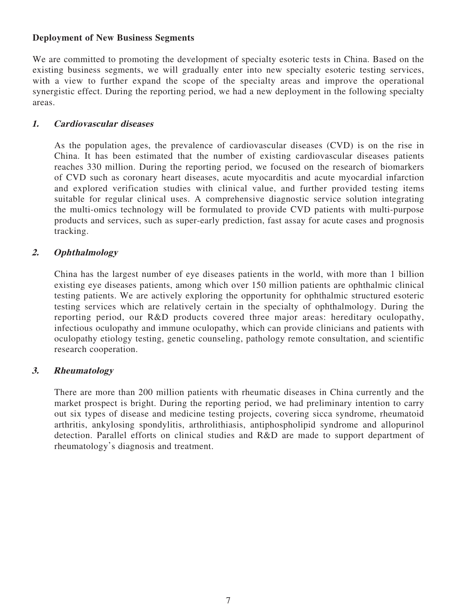## **Deployment of New Business Segments**

We are committed to promoting the development of specialty esoteric tests in China. Based on the existing business segments, we will gradually enter into new specialty esoteric testing services, with a view to further expand the scope of the specialty areas and improve the operational synergistic effect. During the reporting period, we had a new deployment in the following specialty areas.

## **1. Cardiovascular diseases**

As the population ages, the prevalence of cardiovascular diseases (CVD) is on the rise in China. It has been estimated that the number of existing cardiovascular diseases patients reaches 330 million. During the reporting period, we focused on the research of biomarkers of CVD such as coronary heart diseases, acute myocarditis and acute myocardial infarction and explored verification studies with clinical value, and further provided testing items suitable for regular clinical uses. A comprehensive diagnostic service solution integrating the multi-omics technology will be formulated to provide CVD patients with multi-purpose products and services, such as super-early prediction, fast assay for acute cases and prognosis tracking.

## **2. Ophthalmology**

China has the largest number of eye diseases patients in the world, with more than 1 billion existing eye diseases patients, among which over 150 million patients are ophthalmic clinical testing patients. We are actively exploring the opportunity for ophthalmic structured esoteric testing services which are relatively certain in the specialty of ophthalmology. During the reporting period, our R&D products covered three major areas: hereditary oculopathy, infectious oculopathy and immune oculopathy, which can provide clinicians and patients with oculopathy etiology testing, genetic counseling, pathology remote consultation, and scientific research cooperation.

## **3. Rheumatology**

There are more than 200 million patients with rheumatic diseases in China currently and the market prospect is bright. During the reporting period, we had preliminary intention to carry out six types of disease and medicine testing projects, covering sicca syndrome, rheumatoid arthritis, ankylosing spondylitis, arthrolithiasis, antiphospholipid syndrome and allopurinol detection. Parallel efforts on clinical studies and R&D are made to support department of rheumatology's diagnosis and treatment.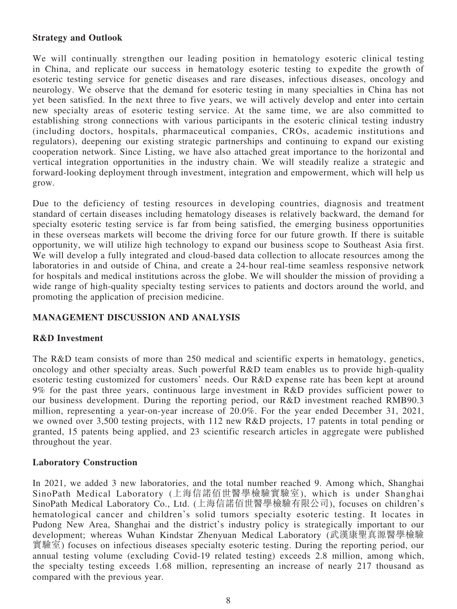## **Strategy and Outlook**

We will continually strengthen our leading position in hematology esoteric clinical testing in China, and replicate our success in hematology esoteric testing to expedite the growth of esoteric testing service for genetic diseases and rare diseases, infectious diseases, oncology and neurology. We observe that the demand for esoteric testing in many specialties in China has not yet been satisfied. In the next three to five years, we will actively develop and enter into certain new specialty areas of esoteric testing service. At the same time, we are also committed to establishing strong connections with various participants in the esoteric clinical testing industry (including doctors, hospitals, pharmaceutical companies, CROs, academic institutions and regulators), deepening our existing strategic partnerships and continuing to expand our existing cooperation network. Since Listing, we have also attached great importance to the horizontal and vertical integration opportunities in the industry chain. We will steadily realize a strategic and forward-looking deployment through investment, integration and empowerment, which will help us grow.

Due to the deficiency of testing resources in developing countries, diagnosis and treatment standard of certain diseases including hematology diseases is relatively backward, the demand for specialty esoteric testing service is far from being satisfied, the emerging business opportunities in these overseas markets will become the driving force for our future growth. If there is suitable opportunity, we will utilize high technology to expand our business scope to Southeast Asia first. We will develop a fully integrated and cloud-based data collection to allocate resources among the laboratories in and outside of China, and create a 24-hour real-time seamless responsive network for hospitals and medical institutions across the globe. We will shoulder the mission of providing a wide range of high-quality specialty testing services to patients and doctors around the world, and promoting the application of precision medicine.

## **MANAGEMENT DISCUSSION AND ANALYSIS**

## **R&D Investment**

The R&D team consists of more than 250 medical and scientific experts in hematology, genetics, oncology and other specialty areas. Such powerful R&D team enables us to provide high-quality esoteric testing customized for customers' needs. Our R&D expense rate has been kept at around 9% for the past three years, continuous large investment in R&D provides sufficient power to our business development. During the reporting period, our R&D investment reached RMB90.3 million, representing a year-on-year increase of 20.0%. For the year ended December 31, 2021, we owned over 3,500 testing projects, with 112 new R&D projects, 17 patents in total pending or granted, 15 patents being applied, and 23 scientific research articles in aggregate were published throughout the year.

## **Laboratory Construction**

In 2021, we added 3 new laboratories, and the total number reached 9. Among which, Shanghai SinoPath Medical Laboratory (上海信諾佰世醫學檢驗實驗室), which is under Shanghai SinoPath Medical Laboratory Co., Ltd. (上海信諾佰世醫學檢驗有限公司), focuses on children's hematological cancer and children's solid tumors specialty esoteric testing. It locates in Pudong New Area, Shanghai and the district's industry policy is strategically important to our development; whereas Wuhan Kindstar Zhenyuan Medical Laboratory (武漢康聖真源醫學檢驗 實驗室) focuses on infectious diseases specialty esoteric testing. During the reporting period, our annual testing volume (excluding Covid-19 related testing) exceeds 2.8 million, among which, the specialty testing exceeds 1.68 million, representing an increase of nearly 217 thousand as compared with the previous year.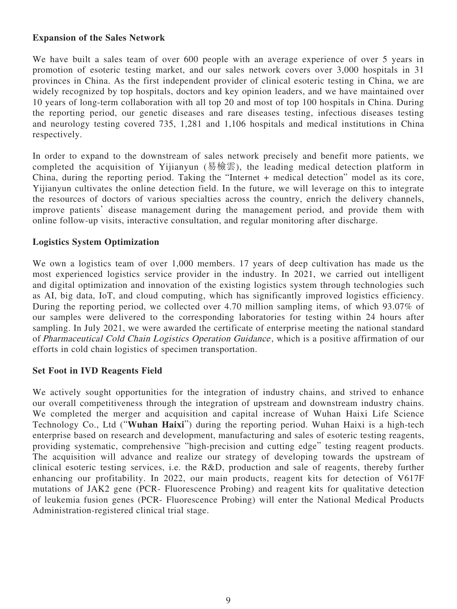## **Expansion of the Sales Network**

We have built a sales team of over 600 people with an average experience of over 5 years in promotion of esoteric testing market, and our sales network covers over 3,000 hospitals in 31 provinces in China. As the first independent provider of clinical esoteric testing in China, we are widely recognized by top hospitals, doctors and key opinion leaders, and we have maintained over 10 years of long-term collaboration with all top 20 and most of top 100 hospitals in China. During the reporting period, our genetic diseases and rare diseases testing, infectious diseases testing and neurology testing covered 735, 1,281 and 1,106 hospitals and medical institutions in China respectively.

In order to expand to the downstream of sales network precisely and benefit more patients, we completed the acquisition of Yijianyun (易檢雲), the leading medical detection platform in China, during the reporting period. Taking the "Internet + medical detection" model as its core, Yijianyun cultivates the online detection field. In the future, we will leverage on this to integrate the resources of doctors of various specialties across the country, enrich the delivery channels, improve patients' disease management during the management period, and provide them with online follow-up visits, interactive consultation, and regular monitoring after discharge.

## **Logistics System Optimization**

We own a logistics team of over 1,000 members. 17 years of deep cultivation has made us the most experienced logistics service provider in the industry. In 2021, we carried out intelligent and digital optimization and innovation of the existing logistics system through technologies such as AI, big data, IoT, and cloud computing, which has significantly improved logistics efficiency. During the reporting period, we collected over 4.70 million sampling items, of which 93.07% of our samples were delivered to the corresponding laboratories for testing within 24 hours after sampling. In July 2021, we were awarded the certificate of enterprise meeting the national standard of Pharmaceutical Cold Chain Logistics Operation Guidance , which is a positive affirmation of our efforts in cold chain logistics of specimen transportation.

## **Set Foot in IVD Reagents Field**

We actively sought opportunities for the integration of industry chains, and strived to enhance our overall competitiveness through the integration of upstream and downstream industry chains. We completed the merger and acquisition and capital increase of Wuhan Haixi Life Science Technology Co., Ltd ("**Wuhan Haixi**") during the reporting period. Wuhan Haixi is a high-tech enterprise based on research and development, manufacturing and sales of esoteric testing reagents, providing systematic, comprehensive "high-precision and cutting edge" testing reagent products. The acquisition will advance and realize our strategy of developing towards the upstream of clinical esoteric testing services, i.e. the R&D, production and sale of reagents, thereby further enhancing our profitability. In 2022, our main products, reagent kits for detection of V617F mutations of JAK2 gene (PCR- Fluorescence Probing) and reagent kits for qualitative detection of leukemia fusion genes (PCR- Fluorescence Probing) will enter the National Medical Products Administration-registered clinical trial stage.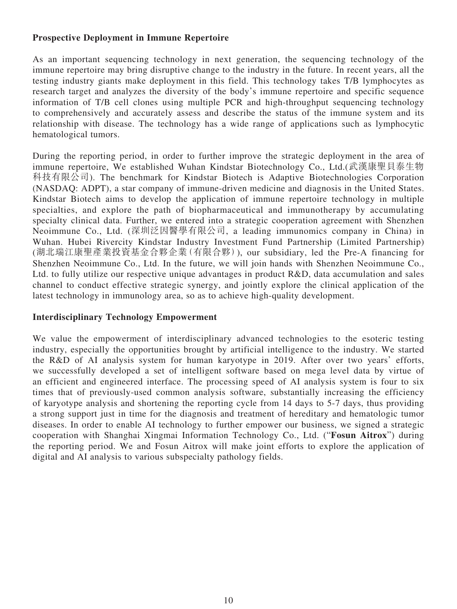## **Prospective Deployment in Immune Repertoire**

As an important sequencing technology in next generation, the sequencing technology of the immune repertoire may bring disruptive change to the industry in the future. In recent years, all the testing industry giants make deployment in this field. This technology takes T/B lymphocytes as research target and analyzes the diversity of the body's immune repertoire and specific sequence information of T/B cell clones using multiple PCR and high-throughput sequencing technology to comprehensively and accurately assess and describe the status of the immune system and its relationship with disease. The technology has a wide range of applications such as lymphocytic hematological tumors.

During the reporting period, in order to further improve the strategic deployment in the area of immune repertoire, We established Wuhan Kindstar Biotechnology Co., Ltd.(武漢康聖貝泰生物 科技有限公司). The benchmark for Kindstar Biotech is Adaptive Biotechnologies Corporation (NASDAQ: ADPT), a star company of immune-driven medicine and diagnosis in the United States. Kindstar Biotech aims to develop the application of immune repertoire technology in multiple specialties, and explore the path of biopharmaceutical and immunotherapy by accumulating specialty clinical data. Further, we entered into a strategic cooperation agreement with Shenzhen Neoimmune Co., Ltd. (深圳泛因醫學有限公司, a leading immunomics company in China) in Wuhan. Hubei Rivercity Kindstar Industry Investment Fund Partnership (Limited Partnership) (湖北瑞江康聖產業投資基金合夥企業(有限合夥)), our subsidiary, led the Pre-A financing for Shenzhen Neoimmune Co., Ltd. In the future, we will join hands with Shenzhen Neoimmune Co., Ltd. to fully utilize our respective unique advantages in product R&D, data accumulation and sales channel to conduct effective strategic synergy, and jointly explore the clinical application of the latest technology in immunology area, so as to achieve high-quality development.

## **Interdisciplinary Technology Empowerment**

We value the empowerment of interdisciplinary advanced technologies to the esoteric testing industry, especially the opportunities brought by artificial intelligence to the industry. We started the R&D of AI analysis system for human karyotype in 2019. After over two years' efforts, we successfully developed a set of intelligent software based on mega level data by virtue of an efficient and engineered interface. The processing speed of AI analysis system is four to six times that of previously-used common analysis software, substantially increasing the efficiency of karyotype analysis and shortening the reporting cycle from 14 days to 5-7 days, thus providing a strong support just in time for the diagnosis and treatment of hereditary and hematologic tumor diseases. In order to enable AI technology to further empower our business, we signed a strategic cooperation with Shanghai Xingmai Information Technology Co., Ltd. ("**Fosun Aitrox**") during the reporting period. We and Fosun Aitrox will make joint efforts to explore the application of digital and AI analysis to various subspecialty pathology fields.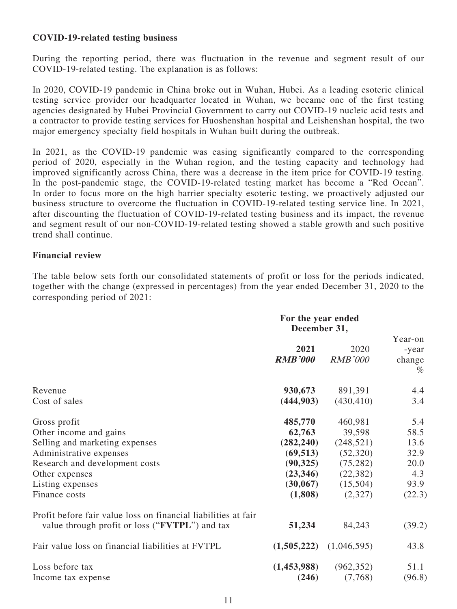## **COVID-19-related testing business**

During the reporting period, there was fluctuation in the revenue and segment result of our COVID-19-related testing. The explanation is as follows:

In 2020, COVID-19 pandemic in China broke out in Wuhan, Hubei. As a leading esoteric clinical testing service provider our headquarter located in Wuhan, we became one of the first testing agencies designated by Hubei Provincial Government to carry out COVID-19 nucleic acid tests and a contractor to provide testing services for Huoshenshan hospital and Leishenshan hospital, the two major emergency specialty field hospitals in Wuhan built during the outbreak.

In 2021, as the COVID-19 pandemic was easing significantly compared to the corresponding period of 2020, especially in the Wuhan region, and the testing capacity and technology had improved significantly across China, there was a decrease in the item price for COVID-19 testing. In the post-pandemic stage, the COVID-19-related testing market has become a "Red Ocean". In order to focus more on the high barrier specialty esoteric testing, we proactively adjusted our business structure to overcome the fluctuation in COVID-19-related testing service line. In 2021, after discounting the fluctuation of COVID-19-related testing business and its impact, the revenue and segment result of our non-COVID-19-related testing showed a stable growth and such positive trend shall continue.

## **Financial review**

The table below sets forth our consolidated statements of profit or loss for the periods indicated, together with the change (expressed in percentages) from the year ended December 31, 2020 to the corresponding period of 2021:

|                                                                                                                                                                                | For the year ended<br>December 31, |                        |                                    |
|--------------------------------------------------------------------------------------------------------------------------------------------------------------------------------|------------------------------------|------------------------|------------------------------------|
|                                                                                                                                                                                | 2021<br><b>RMB'000</b>             | 2020<br><b>RMB'000</b> | Year-on<br>-year<br>change<br>$\%$ |
| Revenue                                                                                                                                                                        | 930,673                            | 891,391                | 4.4                                |
| Cost of sales                                                                                                                                                                  | (444,903)                          | (430, 410)             | 3.4                                |
| Gross profit                                                                                                                                                                   | 485,770                            | 460,981                | 5.4                                |
| Other income and gains                                                                                                                                                         | 62,763                             | 39,598                 | 58.5                               |
| Selling and marketing expenses                                                                                                                                                 | (282, 240)                         | (248, 521)             | 13.6                               |
| Administrative expenses                                                                                                                                                        | (69, 513)                          | (52,320)               | 32.9                               |
| Research and development costs                                                                                                                                                 | (90, 325)                          | (75, 282)              | 20.0                               |
| Other expenses                                                                                                                                                                 | (23,346)                           | (22, 382)              | 4.3                                |
| Listing expenses                                                                                                                                                               | (30, 067)                          | (15,504)               | 93.9                               |
| Finance costs                                                                                                                                                                  | (1,808)                            | (2,327)                | (22.3)                             |
| Profit before fair value loss on financial liabilities at fair<br>value through profit or loss (" <b>FVTPL</b> ") and tax<br>Fair value loss on financial liabilities at FVTPL | 51,234<br>(1,505,222)              | 84,243<br>(1,046,595)  | (39.2)<br>43.8                     |
| Loss before tax                                                                                                                                                                | (1,453,988)                        | (962, 352)             | 51.1                               |
| Income tax expense                                                                                                                                                             | (246)                              | (7,768)                | (96.8)                             |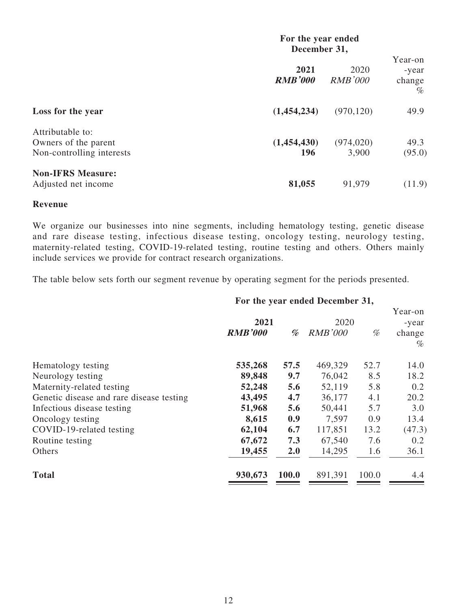|                                                                       | For the year ended<br>December 31, |                        |                                    |
|-----------------------------------------------------------------------|------------------------------------|------------------------|------------------------------------|
|                                                                       | 2021<br><b>RMB'000</b>             | 2020<br><b>RMB'000</b> | Year-on<br>-year<br>change<br>$\%$ |
| Loss for the year                                                     | (1,454,234)                        | (970, 120)             | 49.9                               |
| Attributable to:<br>Owners of the parent<br>Non-controlling interests | (1,454,430)<br>196                 | (974, 020)<br>3,900    | 49.3<br>(95.0)                     |
| <b>Non-IFRS Measure:</b><br>Adjusted net income                       | 81,055                             | 91,979                 | (11.9)                             |

### **Revenue**

We organize our businesses into nine segments, including hematology testing, genetic disease and rare disease testing, infectious disease testing, oncology testing, neurology testing, maternity-related testing, COVID-19-related testing, routine testing and others. Others mainly include services we provide for contract research organizations.

The table below sets forth our segment revenue by operating segment for the periods presented.

## **For the year ended December 31,**

|                |       |                |       | Year-on |
|----------------|-------|----------------|-------|---------|
|                |       |                |       | -year   |
| <b>RMB'000</b> | %     | <b>RMB'000</b> | %     | change  |
|                |       |                |       | $\%$    |
| 535,268        | 57.5  | 469,329        | 52.7  | 14.0    |
| 89,848         | 9.7   | 76,042         | 8.5   | 18.2    |
| 52,248         | 5.6   | 52,119         | 5.8   | 0.2     |
| 43,495         | 4.7   | 36,177         | 4.1   | 20.2    |
| 51,968         | 5.6   | 50,441         | 5.7   | 3.0     |
| 8,615          | 0.9   | 7,597          | 0.9   | 13.4    |
| 62,104         | 6.7   | 117,851        | 13.2  | (47.3)  |
| 67,672         | 7.3   | 67,540         | 7.6   | 0.2     |
| 19,455         | 2.0   | 14,295         | 1.6   | 36.1    |
| 930,673        | 100.0 | 891,391        | 100.0 | 4.4     |
|                |       | 2021           |       | 2020    |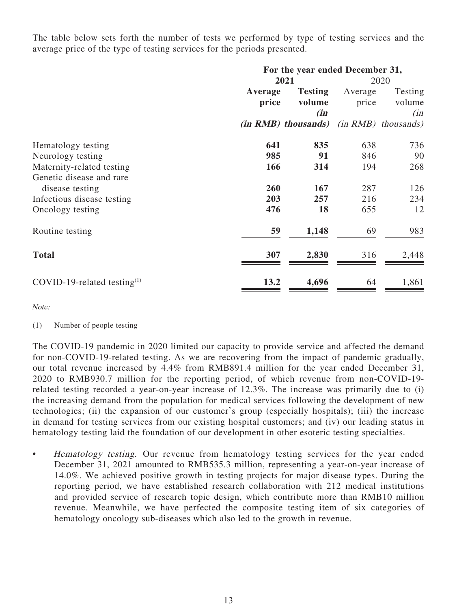The table below sets forth the number of tests we performed by type of testing services and the average price of the type of testing services for the periods presented.

|                                   | For the year ended December 31, |                            |         |                       |  |
|-----------------------------------|---------------------------------|----------------------------|---------|-----------------------|--|
|                                   | 2021                            |                            |         | 2020                  |  |
|                                   | Average                         | <b>Testing</b>             | Average | Testing               |  |
|                                   | price                           | volume                     | price   | volume                |  |
|                                   |                                 | (in                        |         | (in                   |  |
|                                   |                                 | <i>(in RMB) thousands)</i> |         | $(in RMB)$ thousands) |  |
| Hematology testing                | 641                             | 835                        | 638     | 736                   |  |
| Neurology testing                 | 985                             | 91                         | 846     | 90                    |  |
| Maternity-related testing         | 166                             | 314                        | 194     | 268                   |  |
| Genetic disease and rare          |                                 |                            |         |                       |  |
| disease testing                   | 260                             | 167                        | 287     | 126                   |  |
| Infectious disease testing        | 203                             | 257                        | 216     | 234                   |  |
| Oncology testing                  | 476                             | 18                         | 655     | 12                    |  |
| Routine testing                   | 59                              | 1,148                      | 69      | 983                   |  |
| <b>Total</b>                      | 307                             | 2,830                      | 316     | 2,448                 |  |
| COVID-19-related testing $^{(1)}$ | 13.2                            | 4,696                      | 64      | 1,861                 |  |

Note:

The COVID-19 pandemic in 2020 limited our capacity to provide service and affected the demand for non-COVID-19-related testing. As we are recovering from the impact of pandemic gradually, our total revenue increased by 4.4% from RMB891.4 million for the year ended December 31, 2020 to RMB930.7 million for the reporting period, of which revenue from non-COVID-19 related testing recorded a year-on-year increase of 12.3%. The increase was primarily due to (i) the increasing demand from the population for medical services following the development of new technologies; (ii) the expansion of our customer's group (especially hospitals); (iii) the increase in demand for testing services from our existing hospital customers; and (iv) our leading status in hematology testing laid the foundation of our development in other esoteric testing specialties.

• Hematology testing. Our revenue from hematology testing services for the year ended December 31, 2021 amounted to RMB535.3 million, representing a year-on-year increase of 14.0%. We achieved positive growth in testing projects for major disease types. During the reporting period, we have established research collaboration with 212 medical institutions and provided service of research topic design, which contribute more than RMB10 million revenue. Meanwhile, we have perfected the composite testing item of six categories of hematology oncology sub-diseases which also led to the growth in revenue.

<sup>(1)</sup> Number of people testing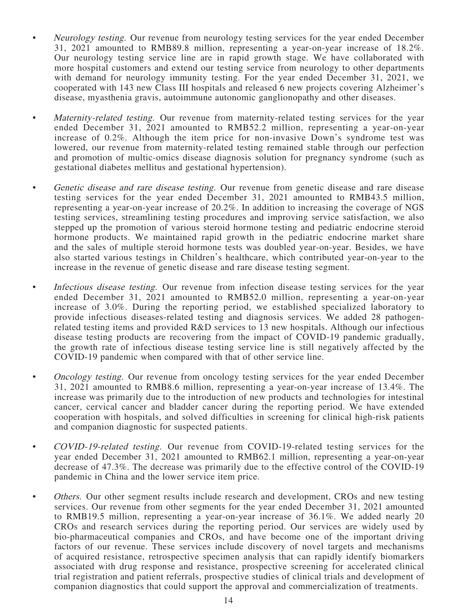- Neurology testing. Our revenue from neurology testing services for the year ended December 31, 2021 amounted to RMB89.8 million, representing a year-on-year increase of 18.2%. Our neurology testing service line are in rapid growth stage. We have collaborated with more hospital customers and extend our testing service from neurology to other departments with demand for neurology immunity testing. For the year ended December 31, 2021, we cooperated with 143 new Class III hospitals and released 6 new projects covering Alzheimer's disease, myasthenia gravis, autoimmune autonomic ganglionopathy and other diseases.
- Maternity-related testing. Our revenue from maternity-related testing services for the year ended December 31, 2021 amounted to RMB52.2 million, representing a year-on-year increase of 0.2%. Although the item price for non-invasive Down's syndrome test was lowered, our revenue from maternity-related testing remained stable through our perfection and promotion of multic-omics disease diagnosis solution for pregnancy syndrome (such as gestational diabetes mellitus and gestational hypertension).
- Genetic disease and rare disease testing. Our revenue from genetic disease and rare disease testing services for the year ended December 31, 2021 amounted to RMB43.5 million, representing a year-on-year increase of 20.2%. In addition to increasing the coverage of NGS testing services, streamlining testing procedures and improving service satisfaction, we also stepped up the promotion of various steroid hormone testing and pediatric endocrine steroid hormone products. We maintained rapid growth in the pediatric endocrine market share and the sales of multiple steroid hormone tests was doubled year-on-year. Besides, we have also started various testings in Children's healthcare, which contributed year-on-year to the increase in the revenue of genetic disease and rare disease testing segment.
- Infectious disease testing. Our revenue from infection disease testing services for the year ended December 31, 2021 amounted to RMB52.0 million, representing a year-on-year increase of 3.0%. During the reporting period, we established specialized laboratory to provide infectious diseases-related testing and diagnosis services. We added 28 pathogenrelated testing items and provided R&D services to 13 new hospitals. Although our infectious disease testing products are recovering from the impact of COVID-19 pandemic gradually, the growth rate of infectious disease testing service line is still negatively affected by the COVID-19 pandemic when compared with that of other service line.
- Oncology testing. Our revenue from oncology testing services for the year ended December 31, 2021 amounted to RMB8.6 million, representing a year-on-year increase of 13.4%. The increase was primarily due to the introduction of new products and technologies for intestinal cancer, cervical cancer and bladder cancer during the reporting period. We have extended cooperation with hospitals, and solved difficulties in screening for clinical high-risk patients and companion diagnostic for suspected patients.
- COVID-19-related testing. Our revenue from COVID-19-related testing services for the year ended December 31, 2021 amounted to RMB62.1 million, representing a year-on-year decrease of 47.3%. The decrease was primarily due to the effective control of the COVID-19 pandemic in China and the lower service item price.
- Others. Our other segment results include research and development, CROs and new testing services. Our revenue from other segments for the year ended December 31, 2021 amounted to RMB19.5 million, representing a year-on-year increase of 36.1%. We added nearly 20 CROs and research services during the reporting period. Our services are widely used by bio-pharmaceutical companies and CROs, and have become one of the important driving factors of our revenue. These services include discovery of novel targets and mechanisms of acquired resistance, retrospective specimen analysis that can rapidly identify biomarkers associated with drug response and resistance, prospective screening for accelerated clinical trial registration and patient referrals, prospective studies of clinical trials and development of companion diagnostics that could support the approval and commercialization of treatments.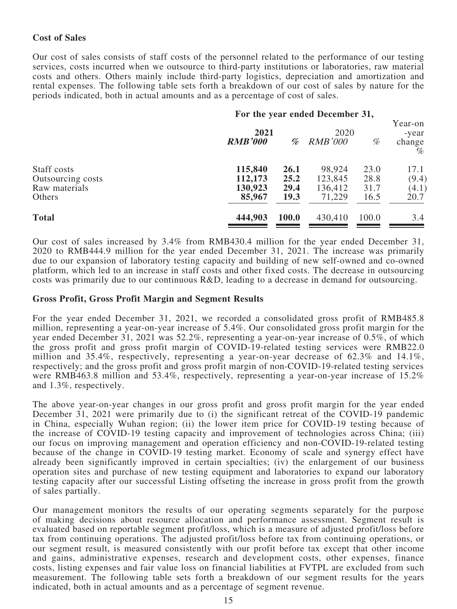## **Cost of Sales**

Our cost of sales consists of staff costs of the personnel related to the performance of our testing services, costs incurred when we outsource to third-party institutions or laboratories, raw material costs and others. Others mainly include third-party logistics, depreciation and amortization and rental expenses. The following table sets forth a breakdown of our cost of sales by nature for the periods indicated, both in actual amounts and as a percentage of cost of sales.

### **For the year ended December 31,**

|                   | 2021<br><b>RMB'000</b> | %     | 2020<br><b>RMB'000</b> | $% \mathcal{P}_{\mathcal{A}}^{\mathcal{A}}\!\left( \mathcal{A} \right) = \mathcal{A}^{\mathcal{A}}\!\left( \mathcal{A} \right)$ | Year-on<br>-year<br>change<br>$\phi$ |
|-------------------|------------------------|-------|------------------------|---------------------------------------------------------------------------------------------------------------------------------|--------------------------------------|
| Staff costs       | 115,840                | 26.1  | 98,924                 | 23.0                                                                                                                            | 17.1                                 |
| Outsourcing costs | 112,173                | 25.2  | 123,845                | 28.8                                                                                                                            | (9.4)                                |
| Raw materials     | 130,923                | 29.4  | 136,412                | 31.7                                                                                                                            | (4.1)                                |
| Others            | 85,967                 | 19.3  | 71,229                 | 16.5                                                                                                                            | 20.7                                 |
| <b>Total</b>      | 444,903                | 100.0 | 430,410                | 100.0                                                                                                                           | 3.4                                  |

Our cost of sales increased by 3.4% from RMB430.4 million for the year ended December 31, 2020 to RMB444.9 million for the year ended December 31, 2021. The increase was primarily due to our expansion of laboratory testing capacity and building of new self-owned and co-owned platform, which led to an increase in staff costs and other fixed costs. The decrease in outsourcing costs was primarily due to our continuous R&D, leading to a decrease in demand for outsourcing.

### **Gross Profit, Gross Profit Margin and Segment Results**

For the year ended December 31, 2021, we recorded a consolidated gross profit of RMB485.8 million, representing a year-on-year increase of 5.4%. Our consolidated gross profit margin for the year ended December 31, 2021 was 52.2%, representing a year-on-year increase of 0.5%, of which the gross profit and gross profit margin of COVID-19-related testing services were RMB22.0 million and 35.4%, respectively, representing a year-on-year decrease of 62.3% and 14.1%, respectively; and the gross profit and gross profit margin of non-COVID-19-related testing services were RMB463.8 million and 53.4%, respectively, representing a year-on-year increase of 15.2% and 1.3%, respectively.

The above year-on-year changes in our gross profit and gross profit margin for the year ended December 31, 2021 were primarily due to (i) the significant retreat of the COVID-19 pandemic in China, especially Wuhan region; (ii) the lower item price for COVID-19 testing because of the increase of COVID-19 testing capacity and improvement of technologies across China; (iii) our focus on improving management and operation efficiency and non-COVID-19-related testing because of the change in COVID-19 testing market. Economy of scale and synergy effect have already been significantly improved in certain specialties; (iv) the enlargement of our business operation sites and purchase of new testing equipment and laboratories to expand our laboratory testing capacity after our successful Listing offseting the increase in gross profit from the growth of sales partially.

Our management monitors the results of our operating segments separately for the purpose of making decisions about resource allocation and performance assessment. Segment result is evaluated based on reportable segment profit/loss, which is a measure of adjusted profit/loss before tax from continuing operations. The adjusted profit/loss before tax from continuing operations, or our segment result, is measured consistently with our profit before tax except that other income and gains, administrative expenses, research and development costs, other expenses, finance costs, listing expenses and fair value loss on financial liabilities at FVTPL are excluded from such measurement. The following table sets forth a breakdown of our segment results for the years indicated, both in actual amounts and as a percentage of segment revenue.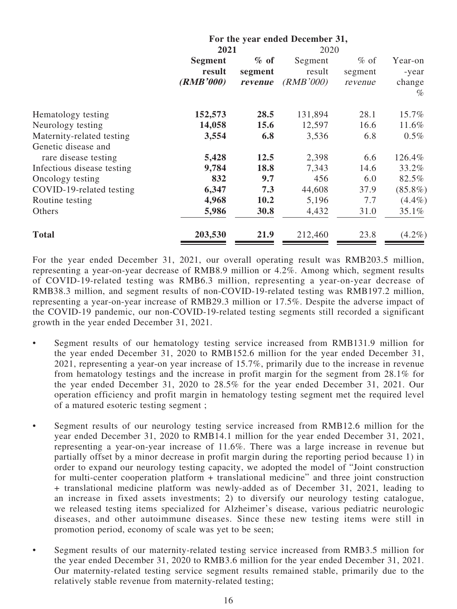|                            | For the year ended December 31, |         |           |         |                |
|----------------------------|---------------------------------|---------|-----------|---------|----------------|
|                            | 2021                            |         | 2020      |         |                |
|                            | Segment                         | $\%$ of | Segment   | $%$ of  | Year-on        |
|                            | result                          | segment | result    | segment | -year          |
|                            | (RMB'000)                       | revenue | (RMB'000) | revenue | change<br>$\%$ |
| Hematology testing         | 152,573                         | 28.5    | 131,894   | 28.1    | 15.7%          |
| Neurology testing          | 14,058                          | 15.6    | 12,597    | 16.6    | 11.6%          |
| Maternity-related testing  | 3,554                           | 6.8     | 3,536     | 6.8     | $0.5\%$        |
| Genetic disease and        |                                 |         |           |         |                |
| rare disease testing       | 5,428                           | 12.5    | 2,398     | 6.6     | 126.4%         |
| Infectious disease testing | 9,784                           | 18.8    | 7,343     | 14.6    | 33.2%          |
| Oncology testing           | 832                             | 9.7     | 456       | 6.0     | 82.5%          |
| COVID-19-related testing   | 6,347                           | 7.3     | 44,608    | 37.9    | $(85.8\%)$     |
| Routine testing            | 4,968                           | 10.2    | 5,196     | 7.7     | $(4.4\%)$      |
| Others                     | 5,986                           | 30.8    | 4,432     | 31.0    | 35.1%          |
| <b>Total</b>               | 203,530                         | 21.9    | 212,460   | 23.8    | $(4.2\%)$      |

For the year ended December 31, 2021, our overall operating result was RMB203.5 million, representing a year-on-year decrease of RMB8.9 million or 4.2%. Among which, segment results of COVID-19-related testing was RMB6.3 million, representing a year-on-year decrease of RMB38.3 million, and segment results of non-COVID-19-related testing was RMB197.2 million, representing a year-on-year increase of RMB29.3 million or 17.5%. Despite the adverse impact of the COVID-19 pandemic, our non-COVID-19-related testing segments still recorded a significant growth in the year ended December 31, 2021.

- Segment results of our hematology testing service increased from RMB131.9 million for the year ended December 31, 2020 to RMB152.6 million for the year ended December 31, 2021, representing a year-on year increase of 15.7%, primarily due to the increase in revenue from hematology testings and the increase in profit margin for the segment from 28.1% for the year ended December 31, 2020 to 28.5% for the year ended December 31, 2021. Our operation efficiency and profit margin in hematology testing segment met the required level of a matured esoteric testing segment ;
- Segment results of our neurology testing service increased from RMB12.6 million for the year ended December 31, 2020 to RMB14.1 million for the year ended December 31, 2021, representing a year-on-year increase of 11.6%. There was a large increase in revenue but partially offset by a minor decrease in profit margin during the reporting period because 1) in order to expand our neurology testing capacity, we adopted the model of "Joint construction for multi-center cooperation platform + translational medicine" and three joint construction + translational medicine platform was newly-added as of December 31, 2021, leading to an increase in fixed assets investments; 2) to diversify our neurology testing catalogue, we released testing items specialized for Alzheimer's disease, various pediatric neurologic diseases, and other autoimmune diseases. Since these new testing items were still in promotion period, economy of scale was yet to be seen;
- Segment results of our maternity-related testing service increased from RMB3.5 million for the year ended December 31, 2020 to RMB3.6 million for the year ended December 31, 2021. Our maternity-related testing service segment results remained stable, primarily due to the relatively stable revenue from maternity-related testing;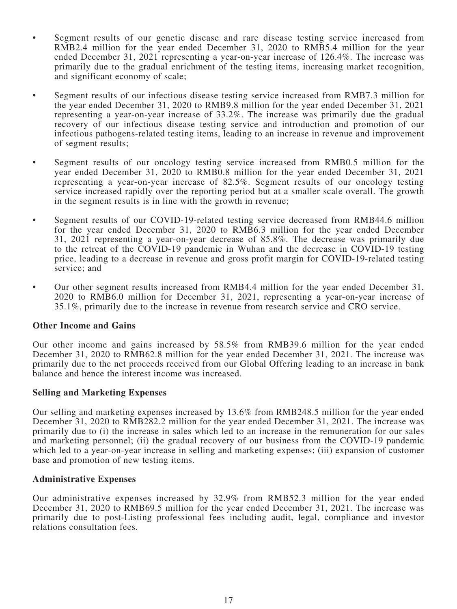- Segment results of our genetic disease and rare disease testing service increased from RMB2.4 million for the year ended December 31, 2020 to RMB5.4 million for the year ended December 31, 2021 representing a year-on-year increase of 126.4%. The increase was primarily due to the gradual enrichment of the testing items, increasing market recognition, and significant economy of scale;
- Segment results of our infectious disease testing service increased from RMB7.3 million for the year ended December 31, 2020 to RMB9.8 million for the year ended December 31, 2021 representing a year-on-year increase of 33.2%. The increase was primarily due the gradual recovery of our infectious disease testing service and introduction and promotion of our infectious pathogens-related testing items, leading to an increase in revenue and improvement of segment results;
- Segment results of our oncology testing service increased from RMB0.5 million for the year ended December 31, 2020 to RMB0.8 million for the year ended December 31, 2021 representing a year-on-year increase of 82.5%. Segment results of our oncology testing service increased rapidly over the reporting period but at a smaller scale overall. The growth in the segment results is in line with the growth in revenue;
- Segment results of our COVID-19-related testing service decreased from RMB44.6 million for the year ended December 31, 2020 to RMB6.3 million for the year ended December 31, 2021 representing a year-on-year decrease of 85.8%. The decrease was primarily due to the retreat of the COVID-19 pandemic in Wuhan and the decrease in COVID-19 testing price, leading to a decrease in revenue and gross profit margin for COVID-19-related testing service; and
- Our other segment results increased from RMB4.4 million for the year ended December 31, 2020 to RMB6.0 million for December 31, 2021, representing a year-on-year increase of 35.1%, primarily due to the increase in revenue from research service and CRO service.

## **Other Income and Gains**

Our other income and gains increased by 58.5% from RMB39.6 million for the year ended December 31, 2020 to RMB62.8 million for the year ended December 31, 2021. The increase was primarily due to the net proceeds received from our Global Offering leading to an increase in bank balance and hence the interest income was increased.

## **Selling and Marketing Expenses**

Our selling and marketing expenses increased by 13.6% from RMB248.5 million for the year ended December 31, 2020 to RMB282.2 million for the year ended December 31, 2021. The increase was primarily due to (i) the increase in sales which led to an increase in the remuneration for our sales and marketing personnel; (ii) the gradual recovery of our business from the COVID-19 pandemic which led to a year-on-year increase in selling and marketing expenses; (iii) expansion of customer base and promotion of new testing items.

### **Administrative Expenses**

Our administrative expenses increased by 32.9% from RMB52.3 million for the year ended December 31, 2020 to RMB69.5 million for the year ended December 31, 2021. The increase was primarily due to post-Listing professional fees including audit, legal, compliance and investor relations consultation fees.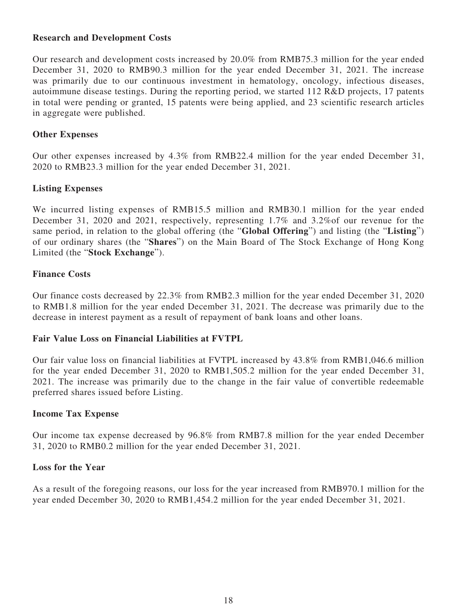## **Research and Development Costs**

Our research and development costs increased by 20.0% from RMB75.3 million for the year ended December 31, 2020 to RMB90.3 million for the year ended December 31, 2021. The increase was primarily due to our continuous investment in hematology, oncology, infectious diseases, autoimmune disease testings. During the reporting period, we started 112 R&D projects, 17 patents in total were pending or granted, 15 patents were being applied, and 23 scientific research articles in aggregate were published.

## **Other Expenses**

Our other expenses increased by 4.3% from RMB22.4 million for the year ended December 31, 2020 to RMB23.3 million for the year ended December 31, 2021.

## **Listing Expenses**

We incurred listing expenses of RMB15.5 million and RMB30.1 million for the year ended December 31, 2020 and 2021, respectively, representing 1.7% and 3.2%of our revenue for the same period, in relation to the global offering (the "**Global Offering**") and listing (the "**Listing**") of our ordinary shares (the "**Shares**") on the Main Board of The Stock Exchange of Hong Kong Limited (the "**Stock Exchange**").

## **Finance Costs**

Our finance costs decreased by 22.3% from RMB2.3 million for the year ended December 31, 2020 to RMB1.8 million for the year ended December 31, 2021. The decrease was primarily due to the decrease in interest payment as a result of repayment of bank loans and other loans.

## **Fair Value Loss on Financial Liabilities at FVTPL**

Our fair value loss on financial liabilities at FVTPL increased by 43.8% from RMB1,046.6 million for the year ended December 31, 2020 to RMB1,505.2 million for the year ended December 31, 2021. The increase was primarily due to the change in the fair value of convertible redeemable preferred shares issued before Listing.

## **Income Tax Expense**

Our income tax expense decreased by 96.8% from RMB7.8 million for the year ended December 31, 2020 to RMB0.2 million for the year ended December 31, 2021.

## **Loss for the Year**

As a result of the foregoing reasons, our loss for the year increased from RMB970.1 million for the year ended December 30, 2020 to RMB1,454.2 million for the year ended December 31, 2021.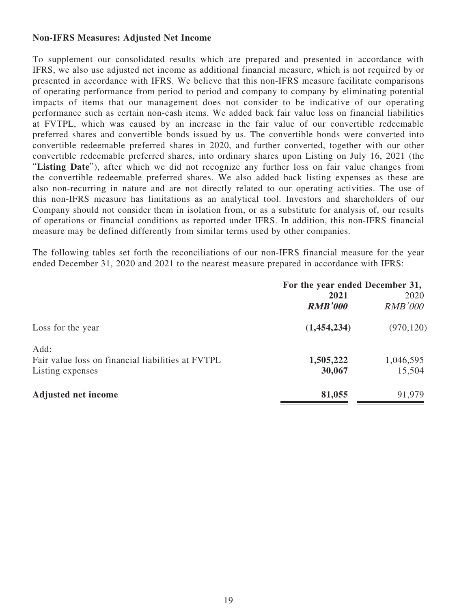## **Non-IFRS Measures: Adjusted Net Income**

To supplement our consolidated results which are prepared and presented in accordance with IFRS, we also use adjusted net income as additional financial measure, which is not required by or presented in accordance with IFRS. We believe that this non-IFRS measure facilitate comparisons of operating performance from period to period and company to company by eliminating potential impacts of items that our management does not consider to be indicative of our operating performance such as certain non-cash items. We added back fair value loss on financial liabilities at FVTPL, which was caused by an increase in the fair value of our convertible redeemable preferred shares and convertible bonds issued by us. The convertible bonds were converted into convertible redeemable preferred shares in 2020, and further converted, together with our other convertible redeemable preferred shares, into ordinary shares upon Listing on July 16, 2021 (the "**Listing Date**"), after which we did not recognize any further loss on fair value changes from the convertible redeemable preferred shares. We also added back listing expenses as these are also non-recurring in nature and are not directly related to our operating activities. The use of this non-IFRS measure has limitations as an analytical tool. Investors and shareholders of our Company should not consider them in isolation from, or as a substitute for analysis of, our results of operations or financial conditions as reported under IFRS. In addition, this non-IFRS financial measure may be defined differently from similar terms used by other companies.

The following tables set forth the reconciliations of our non-IFRS financial measure for the year ended December 31, 2020 and 2021 to the nearest measure prepared in accordance with IFRS:

|                                                   | For the year ended December 31, |                |  |
|---------------------------------------------------|---------------------------------|----------------|--|
|                                                   | 2021                            |                |  |
|                                                   | <b>RMB'000</b>                  | <b>RMB'000</b> |  |
| Loss for the year                                 | (1,454,234)                     | (970, 120)     |  |
| Add:                                              |                                 |                |  |
| Fair value loss on financial liabilities at FVTPL | 1,505,222                       | 1,046,595      |  |
| Listing expenses                                  | 30,067                          | 15,504         |  |
| <b>Adjusted net income</b>                        | 81,055                          | 91,979         |  |
|                                                   |                                 |                |  |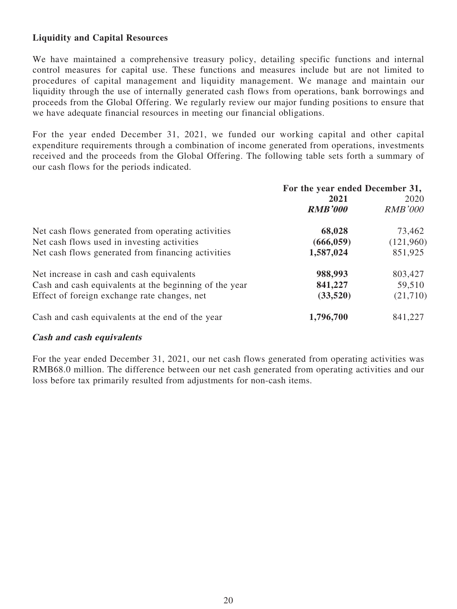# **Liquidity and Capital Resources**

We have maintained a comprehensive treasury policy, detailing specific functions and internal control measures for capital use. These functions and measures include but are not limited to procedures of capital management and liquidity management. We manage and maintain our liquidity through the use of internally generated cash flows from operations, bank borrowings and proceeds from the Global Offering. We regularly review our major funding positions to ensure that we have adequate financial resources in meeting our financial obligations.

For the year ended December 31, 2021, we funded our working capital and other capital expenditure requirements through a combination of income generated from operations, investments received and the proceeds from the Global Offering. The following table sets forth a summary of our cash flows for the periods indicated.

|                                                        | For the year ended December 31, |                |  |
|--------------------------------------------------------|---------------------------------|----------------|--|
|                                                        | 2021                            | 2020           |  |
|                                                        | <b>RMB'000</b>                  | <b>RMB'000</b> |  |
| Net cash flows generated from operating activities     | 68,028                          | 73,462         |  |
| Net cash flows used in investing activities            | (666, 059)                      | (121,960)      |  |
| Net cash flows generated from financing activities     | 1,587,024                       | 851,925        |  |
| Net increase in cash and cash equivalents              | 988,993                         | 803,427        |  |
| Cash and cash equivalents at the beginning of the year | 841,227                         | 59,510         |  |
| Effect of foreign exchange rate changes, net           | (33,520)                        | (21,710)       |  |
| Cash and cash equivalents at the end of the year       | 1,796,700                       | 841,227        |  |

## **Cash and cash equivalents**

For the year ended December 31, 2021, our net cash flows generated from operating activities was RMB68.0 million. The difference between our net cash generated from operating activities and our loss before tax primarily resulted from adjustments for non-cash items.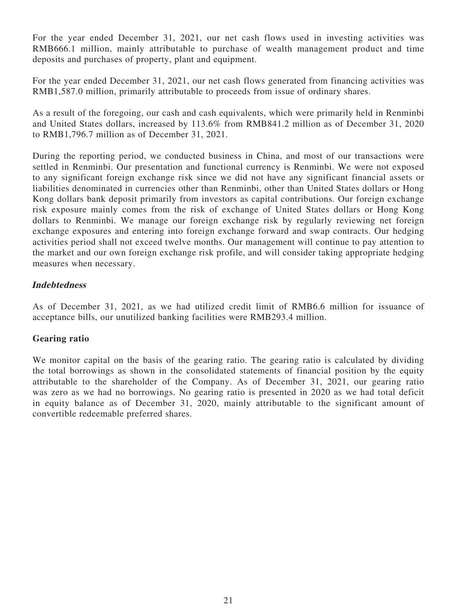For the year ended December 31, 2021, our net cash flows used in investing activities was RMB666.1 million, mainly attributable to purchase of wealth management product and time deposits and purchases of property, plant and equipment.

For the year ended December 31, 2021, our net cash flows generated from financing activities was RMB1,587.0 million, primarily attributable to proceeds from issue of ordinary shares.

As a result of the foregoing, our cash and cash equivalents, which were primarily held in Renminbi and United States dollars, increased by 113.6% from RMB841.2 million as of December 31, 2020 to RMB1,796.7 million as of December 31, 2021.

During the reporting period, we conducted business in China, and most of our transactions were settled in Renminbi. Our presentation and functional currency is Renminbi. We were not exposed to any significant foreign exchange risk since we did not have any significant financial assets or liabilities denominated in currencies other than Renminbi, other than United States dollars or Hong Kong dollars bank deposit primarily from investors as capital contributions. Our foreign exchange risk exposure mainly comes from the risk of exchange of United States dollars or Hong Kong dollars to Renminbi. We manage our foreign exchange risk by regularly reviewing net foreign exchange exposures and entering into foreign exchange forward and swap contracts. Our hedging activities period shall not exceed twelve months. Our management will continue to pay attention to the market and our own foreign exchange risk profile, and will consider taking appropriate hedging measures when necessary.

## **Indebtedness**

As of December 31, 2021, as we had utilized credit limit of RMB6.6 million for issuance of acceptance bills, our unutilized banking facilities were RMB293.4 million.

## **Gearing ratio**

We monitor capital on the basis of the gearing ratio. The gearing ratio is calculated by dividing the total borrowings as shown in the consolidated statements of financial position by the equity attributable to the shareholder of the Company. As of December 31, 2021, our gearing ratio was zero as we had no borrowings. No gearing ratio is presented in 2020 as we had total deficit in equity balance as of December 31, 2020, mainly attributable to the significant amount of convertible redeemable preferred shares.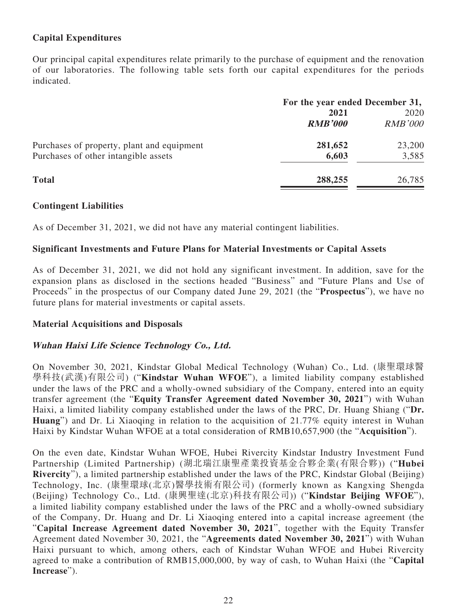# **Capital Expenditures**

Our principal capital expenditures relate primarily to the purchase of equipment and the renovation of our laboratories. The following table sets forth our capital expenditures for the periods indicated.

|                                            | For the year ended December 31, |                |  |
|--------------------------------------------|---------------------------------|----------------|--|
|                                            | 2021                            |                |  |
|                                            | <b>RMB'000</b>                  | <b>RMB'000</b> |  |
| Purchases of property, plant and equipment | 281,652                         | 23,200         |  |
| Purchases of other intangible assets       | 6,603                           | 3,585          |  |
| <b>Total</b>                               | 288,255                         | 26,785         |  |
|                                            |                                 |                |  |

## **Contingent Liabilities**

As of December 31, 2021, we did not have any material contingent liabilities.

## **Significant Investments and Future Plans for Material Investments or Capital Assets**

As of December 31, 2021, we did not hold any significant investment. In addition, save for the expansion plans as disclosed in the sections headed "Business" and "Future Plans and Use of Proceeds" in the prospectus of our Company dated June 29, 2021 (the "**Prospectus**"), we have no future plans for material investments or capital assets.

## **Material Acquisitions and Disposals**

## **Wuhan Haixi Life Science Technology Co., Ltd.**

On November 30, 2021, Kindstar Global Medical Technology (Wuhan) Co., Ltd. (康聖環球醫 學科技(武漢)有限公司) ("**Kindstar Wuhan WFOE**"), a limited liability company established under the laws of the PRC and a wholly-owned subsidiary of the Company, entered into an equity transfer agreement (the "**Equity Transfer Agreement dated November 30, 2021**") with Wuhan Haixi, a limited liability company established under the laws of the PRC, Dr. Huang Shiang ("**Dr. Huang**") and Dr. Li Xiaoqing in relation to the acquisition of 21.77% equity interest in Wuhan Haixi by Kindstar Wuhan WFOE at a total consideration of RMB10,657,900 (the "**Acquisition**").

On the even date, Kindstar Wuhan WFOE, Hubei Rivercity Kindstar Industry Investment Fund Partnership (Limited Partnership) (湖北瑞江康聖產業投資基金合夥企業(有限合夥)) ("**Hubei Rivercity**"), a limited partnership established under the laws of the PRC, Kindstar Global (Beijing) Technology, Inc. (康聖環球(北京)醫學技術有限公司) (formerly known as Kangxing Shengda (Beijing) Technology Co., Ltd. (康興聖達(北京)科技有限公司)) ("**Kindstar Beijing WFOE**"), a limited liability company established under the laws of the PRC and a wholly-owned subsidiary of the Company, Dr. Huang and Dr. Li Xiaoqing entered into a capital increase agreement (the "**Capital Increase Agreement dated November 30, 2021**", together with the Equity Transfer Agreement dated November 30, 2021, the "**Agreements dated November 30, 2021**") with Wuhan Haixi pursuant to which, among others, each of Kindstar Wuhan WFOE and Hubei Rivercity agreed to make a contribution of RMB15,000,000, by way of cash, to Wuhan Haixi (the "**Capital Increase**").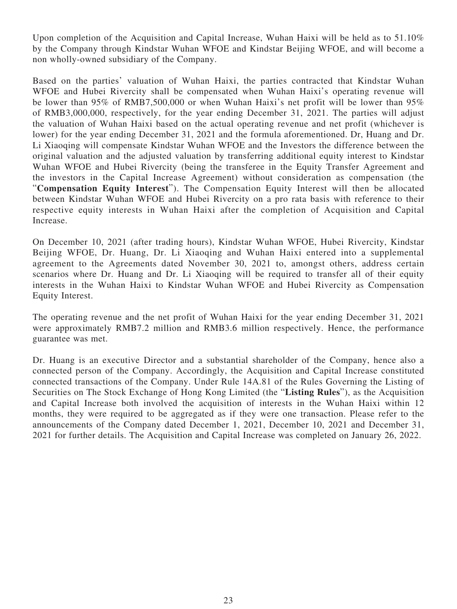Upon completion of the Acquisition and Capital Increase, Wuhan Haixi will be held as to  $51.10\%$ by the Company through Kindstar Wuhan WFOE and Kindstar Beijing WFOE, and will become a non wholly-owned subsidiary of the Company.

Based on the parties' valuation of Wuhan Haixi, the parties contracted that Kindstar Wuhan WFOE and Hubei Rivercity shall be compensated when Wuhan Haixi's operating revenue will be lower than 95% of RMB7,500,000 or when Wuhan Haixi's net profit will be lower than 95% of RMB3,000,000, respectively, for the year ending December 31, 2021. The parties will adjust the valuation of Wuhan Haixi based on the actual operating revenue and net profit (whichever is lower) for the year ending December 31, 2021 and the formula aforementioned. Dr, Huang and Dr. Li Xiaoqing will compensate Kindstar Wuhan WFOE and the Investors the difference between the original valuation and the adjusted valuation by transferring additional equity interest to Kindstar Wuhan WFOE and Hubei Rivercity (being the transferee in the Equity Transfer Agreement and the investors in the Capital Increase Agreement) without consideration as compensation (the "**Compensation Equity Interest**"). The Compensation Equity Interest will then be allocated between Kindstar Wuhan WFOE and Hubei Rivercity on a pro rata basis with reference to their respective equity interests in Wuhan Haixi after the completion of Acquisition and Capital Increase.

On December 10, 2021 (after trading hours), Kindstar Wuhan WFOE, Hubei Rivercity, Kindstar Beijing WFOE, Dr. Huang, Dr. Li Xiaoqing and Wuhan Haixi entered into a supplemental agreement to the Agreements dated November 30, 2021 to, amongst others, address certain scenarios where Dr. Huang and Dr. Li Xiaoqing will be required to transfer all of their equity interests in the Wuhan Haixi to Kindstar Wuhan WFOE and Hubei Rivercity as Compensation Equity Interest.

The operating revenue and the net profit of Wuhan Haixi for the year ending December 31, 2021 were approximately RMB7.2 million and RMB3.6 million respectively. Hence, the performance guarantee was met.

Dr. Huang is an executive Director and a substantial shareholder of the Company, hence also a connected person of the Company. Accordingly, the Acquisition and Capital Increase constituted connected transactions of the Company. Under Rule 14A.81 of the Rules Governing the Listing of Securities on The Stock Exchange of Hong Kong Limited (the "**Listing Rules**"), as the Acquisition and Capital Increase both involved the acquisition of interests in the Wuhan Haixi within 12 months, they were required to be aggregated as if they were one transaction. Please refer to the announcements of the Company dated December 1, 2021, December 10, 2021 and December 31, 2021 for further details. The Acquisition and Capital Increase was completed on January 26, 2022.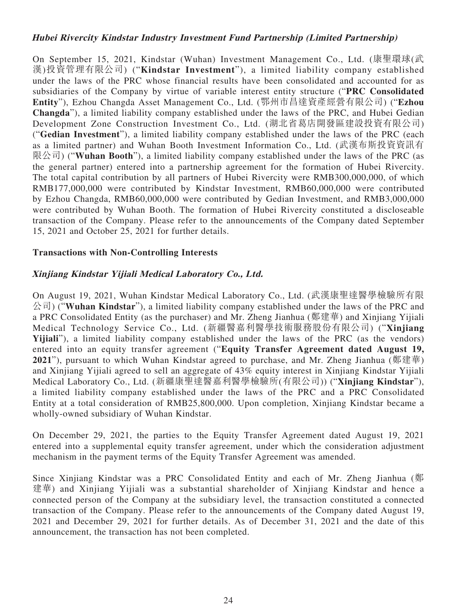## **Hubei Rivercity Kindstar Industry Investment Fund Partnership (Limited Partnership)**

On September 15, 2021, Kindstar (Wuhan) Investment Management Co., Ltd. (康聖環球(武 漢)投資管理有限公司) ("**Kindstar Investment**"), a limited liability company established under the laws of the PRC whose financial results have been consolidated and accounted for as subsidiaries of the Company by virtue of variable interest entity structure ("**PRC Consolidated Entity**"), Ezhou Changda Asset Management Co., Ltd. (鄂州市昌達資產經營有限公司) ("**Ezhou Changda**"), a limited liability company established under the laws of the PRC, and Hubei Gedian Development Zone Construction Investment Co., Ltd. (湖北省葛店開發區建設投資有限公司) ("**Gedian Investment**"), a limited liability company established under the laws of the PRC (each as a limited partner) and Wuhan Booth Investment Information Co., Ltd. (武漢布斯投資資訊有 限公司) ("**Wuhan Booth**"), a limited liability company established under the laws of the PRC (as the general partner) entered into a partnership agreement for the formation of Hubei Rivercity. The total capital contribution by all partners of Hubei Rivercity were RMB300,000,000, of which RMB177,000,000 were contributed by Kindstar Investment, RMB60,000,000 were contributed by Ezhou Changda, RMB60,000,000 were contributed by Gedian Investment, and RMB3,000,000 were contributed by Wuhan Booth. The formation of Hubei Rivercity constituted a discloseable transaction of the Company. Please refer to the announcements of the Company dated September 15, 2021 and October 25, 2021 for further details.

## **Transactions with Non-Controlling Interests**

## **Xinjiang Kindstar Yijiali Medical Laboratory Co., Ltd.**

On August 19, 2021, Wuhan Kindstar Medical Laboratory Co., Ltd. (武漢康聖達醫學檢驗所有限 公司) ("**Wuhan Kindstar**"), a limited liability company established under the laws of the PRC and a PRC Consolidated Entity (as the purchaser) and Mr. Zheng Jianhua (鄭建華) and Xinjiang Yijiali Medical Technology Service Co., Ltd. (新疆醫嘉利醫學技術服務股份有限公司) ("**Xinjiang Yijiali**"), a limited liability company established under the laws of the PRC (as the vendors) entered into an equity transfer agreement ("**Equity Transfer Agreement dated August 19, 2021**"), pursuant to which Wuhan Kindstar agreed to purchase, and Mr. Zheng Jianhua (鄭建華) and Xinjiang Yijiali agreed to sell an aggregate of 43% equity interest in Xinjiang Kindstar Yijiali Medical Laboratory Co., Ltd. (新疆康聖達醫嘉利醫學檢驗所(有限公司)) ("**Xinjiang Kindstar**"), a limited liability company established under the laws of the PRC and a PRC Consolidated Entity at a total consideration of RMB25,800,000. Upon completion, Xinjiang Kindstar became a wholly-owned subsidiary of Wuhan Kindstar.

On December 29, 2021, the parties to the Equity Transfer Agreement dated August 19, 2021 entered into a supplemental equity transfer agreement, under which the consideration adjustment mechanism in the payment terms of the Equity Transfer Agreement was amended.

Since Xinjiang Kindstar was a PRC Consolidated Entity and each of Mr. Zheng Jianhua (鄭 建華) and Xinjiang Yijiali was a substantial shareholder of Xinjiang Kindstar and hence a connected person of the Company at the subsidiary level, the transaction constituted a connected transaction of the Company. Please refer to the announcements of the Company dated August 19, 2021 and December 29, 2021 for further details. As of December 31, 2021 and the date of this announcement, the transaction has not been completed.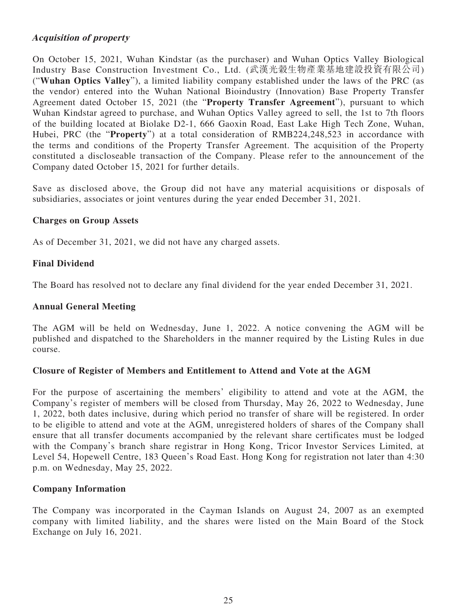## **Acquisition of property**

On October 15, 2021, Wuhan Kindstar (as the purchaser) and Wuhan Optics Valley Biological Industry Base Construction Investment Co., Ltd. (武漢光穀生物產業基地建設投資有限公司) ("**Wuhan Optics Valley**"), a limited liability company established under the laws of the PRC (as the vendor) entered into the Wuhan National Bioindustry (Innovation) Base Property Transfer Agreement dated October 15, 2021 (the "**Property Transfer Agreement**"), pursuant to which Wuhan Kindstar agreed to purchase, and Wuhan Optics Valley agreed to sell, the 1st to 7th floors of the building located at Biolake D2-1, 666 Gaoxin Road, East Lake High Tech Zone, Wuhan, Hubei, PRC (the "**Property**") at a total consideration of RMB224,248,523 in accordance with the terms and conditions of the Property Transfer Agreement. The acquisition of the Property constituted a discloseable transaction of the Company. Please refer to the announcement of the Company dated October 15, 2021 for further details.

Save as disclosed above, the Group did not have any material acquisitions or disposals of subsidiaries, associates or joint ventures during the year ended December 31, 2021.

## **Charges on Group Assets**

As of December 31, 2021, we did not have any charged assets.

## **Final Dividend**

The Board has resolved not to declare any final dividend for the year ended December 31, 2021.

### **Annual General Meeting**

The AGM will be held on Wednesday, June 1, 2022. A notice convening the AGM will be published and dispatched to the Shareholders in the manner required by the Listing Rules in due course.

## **Closure of Register of Members and Entitlement to Attend and Vote at the AGM**

For the purpose of ascertaining the members' eligibility to attend and vote at the AGM, the Company's register of members will be closed from Thursday, May 26, 2022 to Wednesday, June 1, 2022, both dates inclusive, during which period no transfer of share will be registered. In order to be eligible to attend and vote at the AGM, unregistered holders of shares of the Company shall ensure that all transfer documents accompanied by the relevant share certificates must be lodged with the Company's branch share registrar in Hong Kong, Tricor Investor Services Limited, at Level 54, Hopewell Centre, 183 Queen's Road East. Hong Kong for registration not later than 4:30 p.m. on Wednesday, May 25, 2022.

## **Company Information**

The Company was incorporated in the Cayman Islands on August 24, 2007 as an exempted company with limited liability, and the shares were listed on the Main Board of the Stock Exchange on July 16, 2021.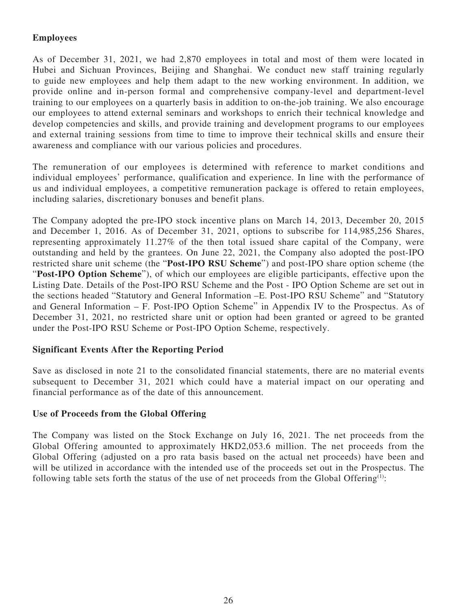# **Employees**

As of December 31, 2021, we had 2,870 employees in total and most of them were located in Hubei and Sichuan Provinces, Beijing and Shanghai. We conduct new staff training regularly to guide new employees and help them adapt to the new working environment. In addition, we provide online and in-person formal and comprehensive company-level and department-level training to our employees on a quarterly basis in addition to on-the-job training. We also encourage our employees to attend external seminars and workshops to enrich their technical knowledge and develop competencies and skills, and provide training and development programs to our employees and external training sessions from time to time to improve their technical skills and ensure their awareness and compliance with our various policies and procedures.

The remuneration of our employees is determined with reference to market conditions and individual employees' performance, qualification and experience. In line with the performance of us and individual employees, a competitive remuneration package is offered to retain employees, including salaries, discretionary bonuses and benefit plans.

The Company adopted the pre-IPO stock incentive plans on March 14, 2013, December 20, 2015 and December 1, 2016. As of December 31, 2021, options to subscribe for 114,985,256 Shares, representing approximately 11.27% of the then total issued share capital of the Company, were outstanding and held by the grantees. On June 22, 2021, the Company also adopted the post-IPO restricted share unit scheme (the "**Post-IPO RSU Scheme**") and post-IPO share option scheme (the "**Post-IPO Option Scheme**"), of which our employees are eligible participants, effective upon the Listing Date. Details of the Post-IPO RSU Scheme and the Post - IPO Option Scheme are set out in the sections headed "Statutory and General Information –E. Post-IPO RSU Scheme" and "Statutory and General Information – F. Post-IPO Option Scheme" in Appendix IV to the Prospectus. As of December 31, 2021, no restricted share unit or option had been granted or agreed to be granted under the Post-IPO RSU Scheme or Post-IPO Option Scheme, respectively.

## **Significant Events After the Reporting Period**

Save as disclosed in note 21 to the consolidated financial statements, there are no material events subsequent to December 31, 2021 which could have a material impact on our operating and financial performance as of the date of this announcement.

## **Use of Proceeds from the Global Offering**

The Company was listed on the Stock Exchange on July 16, 2021. The net proceeds from the Global Offering amounted to approximately HKD2,053.6 million. The net proceeds from the Global Offering (adjusted on a pro rata basis based on the actual net proceeds) have been and will be utilized in accordance with the intended use of the proceeds set out in the Prospectus. The following table sets forth the status of the use of net proceeds from the Global Offering<sup>(1)</sup>: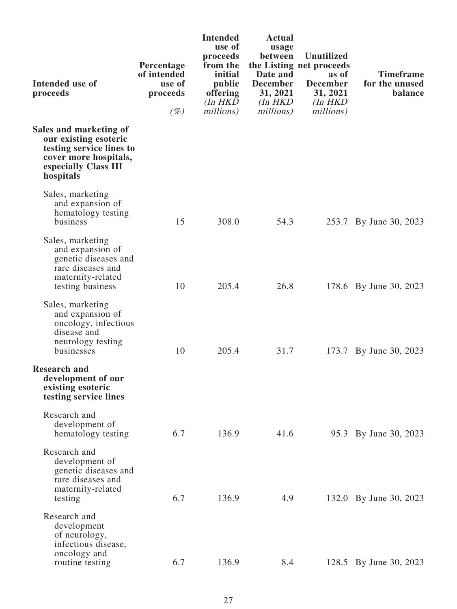| Intended use of<br>proceeds                                                                                                               | Percentage<br>of intended<br>use of<br>proceeds<br>$(\%)$ | <b>Intended</b><br>use of<br>proceeds<br>from the<br>initial<br>public<br>offering<br>$(In$ $HKD$<br>millions) | <b>Actual</b><br>usage<br>between<br>Date and<br><b>December</b><br>31, 2021<br>$(In$ $HKD$<br>millions) | <b>Unutilized</b><br>the Listing net proceeds<br>as of<br><b>December</b><br>31, 2021<br>$(In$ $HKD$<br>millions) | <b>Timeframe</b><br>for the unused<br>balance |
|-------------------------------------------------------------------------------------------------------------------------------------------|-----------------------------------------------------------|----------------------------------------------------------------------------------------------------------------|----------------------------------------------------------------------------------------------------------|-------------------------------------------------------------------------------------------------------------------|-----------------------------------------------|
| Sales and marketing of<br>our existing esoteric<br>testing service lines to<br>cover more hospitals,<br>especially Class III<br>hospitals |                                                           |                                                                                                                |                                                                                                          |                                                                                                                   |                                               |
| Sales, marketing<br>and expansion of<br>hematology testing<br>business                                                                    | 15                                                        | 308.0                                                                                                          | 54.3                                                                                                     |                                                                                                                   | 253.7 By June 30, 2023                        |
| Sales, marketing<br>and expansion of<br>genetic diseases and<br>rare diseases and<br>maternity-related<br>testing business                | 10                                                        | 205.4                                                                                                          | 26.8                                                                                                     |                                                                                                                   | 178.6 By June 30, 2023                        |
| Sales, marketing<br>and expansion of<br>oncology, infectious<br>disease and<br>neurology testing<br>businesses                            | 10                                                        | 205.4                                                                                                          | 31.7                                                                                                     |                                                                                                                   | 173.7 By June 30, 2023                        |
| <b>Research and</b><br>development of our<br>existing esoteric<br>testing service lines                                                   |                                                           |                                                                                                                |                                                                                                          |                                                                                                                   |                                               |
| Research and<br>development of<br>hematology testing                                                                                      | 6.7                                                       | 136.9                                                                                                          | 41.6                                                                                                     |                                                                                                                   | 95.3 By June 30, 2023                         |
| Research and<br>development of<br>genetic diseases and<br>rare diseases and<br>maternity-related<br>testing                               | 6.7                                                       | 136.9                                                                                                          | 4.9                                                                                                      |                                                                                                                   | 132.0 By June 30, 2023                        |
| Research and<br>development<br>of neurology,<br>infectious disease,<br>oncology and<br>routine testing                                    | 6.7                                                       | 136.9                                                                                                          | 8.4                                                                                                      |                                                                                                                   | 128.5 By June 30, 2023                        |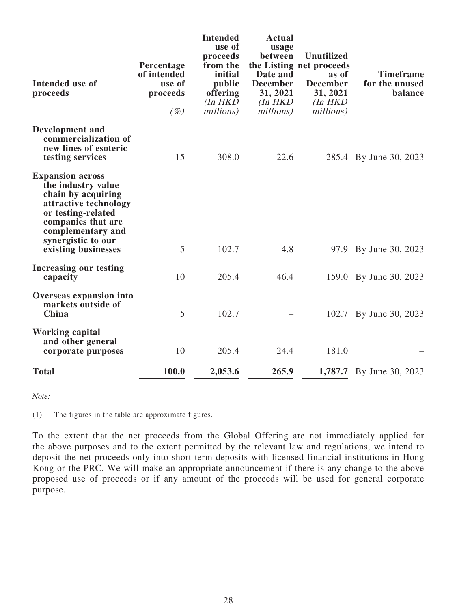| Intended use of<br>proceeds                                                                                                                                                                                | Percentage<br>of intended<br>use of<br>proceeds<br>$(\%)$ | <b>Intended</b><br>use of<br>proceeds<br>from the<br>initial<br>public<br>offering<br>$(In$ $HKD$<br>millions) | <b>Actual</b><br>usage<br>between<br>Date and<br><b>December</b><br>31, 2021<br>$(In$ $HKD$<br>millions) | <b>Unutilized</b><br>the Listing net proceeds<br>as of<br><b>December</b><br>31, 2021<br>$(In$ $HKD$<br>millions) | <b>Timeframe</b><br>for the unused<br>balance |
|------------------------------------------------------------------------------------------------------------------------------------------------------------------------------------------------------------|-----------------------------------------------------------|----------------------------------------------------------------------------------------------------------------|----------------------------------------------------------------------------------------------------------|-------------------------------------------------------------------------------------------------------------------|-----------------------------------------------|
| Development and<br>commercialization of<br>new lines of esoteric<br>testing services                                                                                                                       | 15                                                        | 308.0                                                                                                          | 22.6                                                                                                     |                                                                                                                   | 285.4 By June 30, 2023                        |
| <b>Expansion across</b><br>the industry value<br>chain by acquiring<br>attractive technology<br>or testing-related<br>companies that are<br>complementary and<br>synergistic to our<br>existing businesses | 5                                                         | 102.7                                                                                                          | 4.8                                                                                                      |                                                                                                                   | 97.9 By June 30, 2023                         |
| Increasing our testing<br>capacity                                                                                                                                                                         | 10                                                        | 205.4                                                                                                          | 46.4                                                                                                     |                                                                                                                   | 159.0 By June 30, 2023                        |
| Overseas expansion into<br>markets outside of<br>China                                                                                                                                                     | 5                                                         | 102.7                                                                                                          |                                                                                                          |                                                                                                                   | 102.7 By June 30, 2023                        |
| <b>Working capital</b><br>and other general<br>corporate purposes                                                                                                                                          | 10                                                        | 205.4                                                                                                          | 24.4                                                                                                     | 181.0                                                                                                             |                                               |
| <b>Total</b>                                                                                                                                                                                               | 100.0                                                     | 2,053.6                                                                                                        | 265.9                                                                                                    |                                                                                                                   | <b>1,787.7</b> By June 30, 2023               |

Note:

(1) The figures in the table are approximate figures.

To the extent that the net proceeds from the Global Offering are not immediately applied for the above purposes and to the extent permitted by the relevant law and regulations, we intend to deposit the net proceeds only into short-term deposits with licensed financial institutions in Hong Kong or the PRC. We will make an appropriate announcement if there is any change to the above proposed use of proceeds or if any amount of the proceeds will be used for general corporate purpose.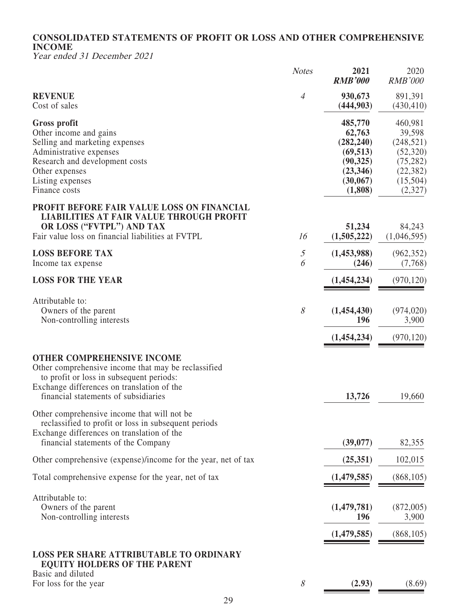# **CONSOLIDATED STATEMENTS OF PROFIT OR LOSS AND OTHER COMPREHENSIVE INCOME**

Year ended 31 December 2021

|                                                                                                                                                                                                                            | <b>Notes</b>                                                                 | 2021<br><b>RMB'000</b>                                                                        | 2020<br><b>RMB'000</b>                                                                        |
|----------------------------------------------------------------------------------------------------------------------------------------------------------------------------------------------------------------------------|------------------------------------------------------------------------------|-----------------------------------------------------------------------------------------------|-----------------------------------------------------------------------------------------------|
| <b>REVENUE</b><br>Cost of sales                                                                                                                                                                                            | $\overline{4}$                                                               | 930,673<br>(444,903)                                                                          | 891,391<br>(430, 410)                                                                         |
| <b>Gross profit</b><br>Other income and gains<br>Selling and marketing expenses<br>Administrative expenses<br>Research and development costs<br>Other expenses<br>Listing expenses<br>Finance costs                        |                                                                              | 485,770<br>62,763<br>(282, 240)<br>(69, 513)<br>(90, 325)<br>(23, 346)<br>(30,067)<br>(1,808) | 460,981<br>39,598<br>(248, 521)<br>(52, 320)<br>(75, 282)<br>(22, 382)<br>(15,504)<br>(2,327) |
| PROFIT BEFORE FAIR VALUE LOSS ON FINANCIAL<br><b>LIABILITIES AT FAIR VALUE THROUGH PROFIT</b><br>OR LOSS ("FVTPL") AND TAX<br>Fair value loss on financial liabilities at FVTPL                                            | 16                                                                           | 51,234<br>(1,505,222)                                                                         | 84,243<br>(1,046,595)                                                                         |
| <b>LOSS BEFORE TAX</b><br>Income tax expense                                                                                                                                                                               | $\mathfrak{H}% _{F}=\mathfrak{H}_{F}\!\left( \mathfrak{H}_{F}\right) ,$<br>6 | (1,453,988)<br>(246)                                                                          | (962, 352)<br>(7,768)                                                                         |
| <b>LOSS FOR THE YEAR</b>                                                                                                                                                                                                   |                                                                              | (1,454,234)                                                                                   | (970, 120)                                                                                    |
| Attributable to:<br>Owners of the parent<br>Non-controlling interests                                                                                                                                                      | $\mathcal S$                                                                 | (1,454,430)<br>196                                                                            | (974, 020)<br>3,900                                                                           |
|                                                                                                                                                                                                                            |                                                                              | (1,454,234)                                                                                   | (970, 120)                                                                                    |
| <b>OTHER COMPREHENSIVE INCOME</b><br>Other comprehensive income that may be reclassified<br>to profit or loss in subsequent periods:<br>Exchange differences on translation of the<br>financial statements of subsidiaries |                                                                              | 13,726                                                                                        | 19,660                                                                                        |
| Other comprehensive income that will not be<br>reclassified to profit or loss in subsequent periods<br>Exchange differences on translation of the<br>financial statements of the Company                                   |                                                                              | (39,077)                                                                                      | 82,355                                                                                        |
| Other comprehensive (expense)/income for the year, net of tax                                                                                                                                                              |                                                                              | (25,351)                                                                                      | 102,015                                                                                       |
| Total comprehensive expense for the year, net of tax                                                                                                                                                                       |                                                                              | (1,479,585)                                                                                   | (868, 105)                                                                                    |
| Attributable to:<br>Owners of the parent<br>Non-controlling interests                                                                                                                                                      |                                                                              | (1,479,781)<br>196                                                                            | (872,005)<br>3,900                                                                            |
|                                                                                                                                                                                                                            |                                                                              | (1,479,585)                                                                                   | (868, 105)                                                                                    |
| <b>LOSS PER SHARE ATTRIBUTABLE TO ORDINARY</b><br><b>EQUITY HOLDERS OF THE PARENT</b>                                                                                                                                      |                                                                              |                                                                                               |                                                                                               |
| Basic and diluted<br>For loss for the year                                                                                                                                                                                 | 8                                                                            | (2.93)                                                                                        | (8.69)                                                                                        |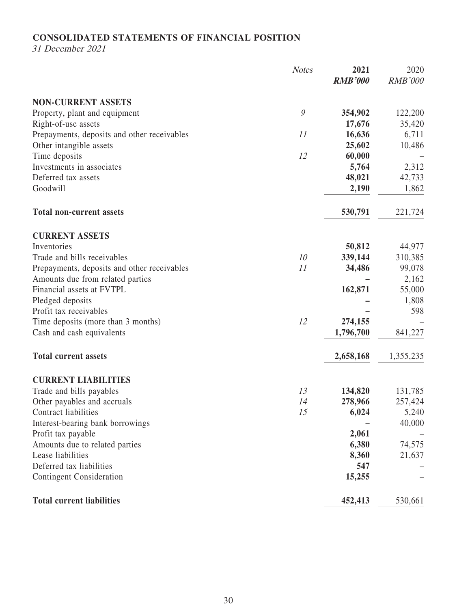# **CONSOLIDATED STATEMENTS OF FINANCIAL POSITION**

31 December 2021

|                                             | <b>Notes</b>  | 2021<br><b>RMB'000</b> | 2020<br><b>RMB'000</b> |
|---------------------------------------------|---------------|------------------------|------------------------|
| <b>NON-CURRENT ASSETS</b>                   |               |                        |                        |
| Property, plant and equipment               | $\mathcal{G}$ | 354,902                | 122,200                |
| Right-of-use assets                         |               | 17,676                 | 35,420                 |
| Prepayments, deposits and other receivables | 11            | 16,636                 | 6,711                  |
| Other intangible assets                     |               | 25,602                 | 10,486                 |
| Time deposits                               | 12            | 60,000                 |                        |
| Investments in associates                   |               | 5,764                  | 2,312                  |
| Deferred tax assets                         |               | 48,021                 | 42,733                 |
| Goodwill                                    |               | 2,190                  | 1,862                  |
| <b>Total non-current assets</b>             |               | 530,791                | 221,724                |
| <b>CURRENT ASSETS</b>                       |               |                        |                        |
| Inventories                                 |               | 50,812                 | 44,977                 |
| Trade and bills receivables                 | 10            | 339,144                | 310,385                |
| Prepayments, deposits and other receivables | 11            | 34,486                 | 99,078                 |
| Amounts due from related parties            |               |                        | 2,162                  |
| Financial assets at FVTPL                   |               | 162,871                | 55,000                 |
| Pledged deposits                            |               |                        | 1,808                  |
| Profit tax receivables                      |               |                        | 598                    |
| Time deposits (more than 3 months)          | 12            | 274,155                |                        |
| Cash and cash equivalents                   |               | 1,796,700              | 841,227                |
| <b>Total current assets</b>                 |               | 2,658,168              | 1,355,235              |
| <b>CURRENT LIABILITIES</b>                  |               |                        |                        |
| Trade and bills payables                    | 13            | 134,820                | 131,785                |
| Other payables and accruals                 | 14            | 278,966                | 257,424                |
| Contract liabilities                        | 15            | 6,024                  | 5,240                  |
| Interest-bearing bank borrowings            |               |                        | 40,000                 |
| Profit tax payable                          |               | 2,061                  |                        |
| Amounts due to related parties              |               | 6,380                  | 74,575                 |
| Lease liabilities                           |               | 8,360                  | 21,637                 |
| Deferred tax liabilities                    |               | 547                    |                        |
| <b>Contingent Consideration</b>             |               | 15,255                 |                        |
| <b>Total current liabilities</b>            |               | 452,413                | 530,661                |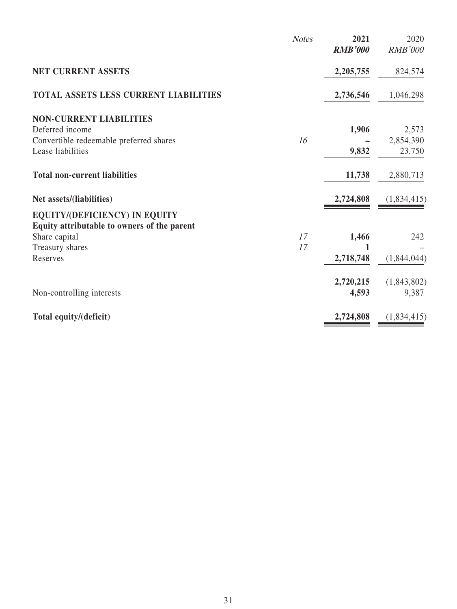|                                                                                     | <b>Notes</b> | 2021<br><b>RMB'000</b> | 2020<br><b>RMB'000</b> |
|-------------------------------------------------------------------------------------|--------------|------------------------|------------------------|
| NET CURRENT ASSETS                                                                  |              | 2,205,755              | 824,574                |
| TOTAL ASSETS LESS CURRENT LIABILITIES                                               |              | 2,736,546              | 1,046,298              |
| <b>NON-CURRENT LIABILITIES</b>                                                      |              |                        |                        |
| Deferred income                                                                     |              | 1,906                  | 2,573                  |
| Convertible redeemable preferred shares                                             | 16           |                        | 2,854,390              |
| Lease liabilities                                                                   |              | 9,832                  | 23,750                 |
| <b>Total non-current liabilities</b>                                                |              | 11,738                 | 2,880,713              |
| Net assets/(liabilities)                                                            |              | 2,724,808              | (1,834,415)            |
| <b>EQUITY/(DEFICIENCY) IN EQUITY</b><br>Equity attributable to owners of the parent |              |                        |                        |
| Share capital                                                                       | 17           | 1,466                  | 242                    |
| Treasury shares                                                                     | 17           |                        |                        |
| Reserves                                                                            |              | 2,718,748              | (1,844,044)            |
|                                                                                     |              | 2,720,215              | (1,843,802)            |
| Non-controlling interests                                                           |              | 4,593                  | 9,387                  |
|                                                                                     |              |                        |                        |
| Total equity/(deficit)                                                              |              | 2,724,808              | (1,834,415)            |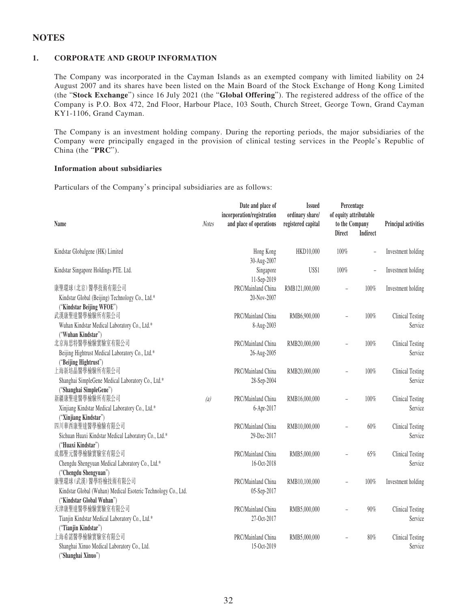## **NOTES**

### **1. CORPORATE AND GROUP INFORMATION**

The Company was incorporated in the Cayman Islands as an exempted company with limited liability on 24 August 2007 and its shares have been listed on the Main Board of the Stock Exchange of Hong Kong Limited (the "**Stock Exchange**") since 16 July 2021 (the "**Global Offering**"). The registered address of the office of the Company is P.O. Box 472, 2nd Floor, Harbour Place, 103 South, Church Street, George Town, Grand Cayman KY1-1106, Grand Cayman.

The Company is an investment holding company. During the reporting periods, the major subsidiaries of the Company were principally engaged in the provision of clinical testing services in the People's Republic of China (the "**PRC**").

#### **Information about subsidiaries**

Particulars of the Company's principal subsidiaries are as follows:

| Name                                                                                                                                        | <b>Notes</b> | Date and place of<br>incorporation/registration<br>and place of operations | <b>Issued</b><br>ordinary share/<br>registered capital | Percentage<br>of equity attributable<br>to the Company<br><b>Direct</b> | <b>Indirect</b>          | Principal activities               |
|---------------------------------------------------------------------------------------------------------------------------------------------|--------------|----------------------------------------------------------------------------|--------------------------------------------------------|-------------------------------------------------------------------------|--------------------------|------------------------------------|
| Kindstar Globalgene (HK) Limited                                                                                                            |              | Hong Kong<br>30-Aug-2007                                                   | HKD10,000                                              | 100%                                                                    |                          | Investment holding                 |
| Kindstar Singapore Holdings PTE. Ltd.                                                                                                       |              | Singapore<br>11-Sep-2019                                                   | US\$1                                                  | 100%                                                                    | $\overline{\phantom{a}}$ | Investment holding                 |
| 康聖環球 (北京) 醫學技術有限公司<br>Kindstar Global (Beijing) Technology Co., Ltd.*<br>("Kindstar Beijing WFOE")                                          |              | PRC/Mainland China<br>20-Nov-2007                                          | RMB121,000,000                                         |                                                                         | 100%                     | Investment holding                 |
| 武漢康聖達醫學檢驗所有限公司<br>Wuhan Kindstar Medical Laboratory Co., Ltd.*<br>("Wuhan Kindstar")                                                        |              | PRC/Mainland China<br>8-Aug-2003                                           | RMB6,900,000                                           |                                                                         | 100%                     | <b>Clinical Testing</b><br>Service |
| 北京海思特醫學檢驗實驗室有限公司<br>Beijing Hightrust Medical Laboratory Co., Ltd.*<br>("Beijing Hightrust")                                                |              | PRC/Mainland China<br>26-Aug-2005                                          | RMB20,000,000                                          |                                                                         | 100%                     | <b>Clinical Testing</b><br>Service |
| 上海新培晶醫學檢驗所有限公司<br>Shanghai SimpleGene Medical Laboratory Co., Ltd.*                                                                         |              | PRC/Mainland China<br>28-Sep-2004                                          | RMB20,000,000                                          |                                                                         | 100%                     | Clinical Testing<br>Service        |
| ("Shanghai SimpleGene")<br>新疆康聖達醫學檢驗所有限公司<br>Xinjiang Kindstar Medical Laboratory Co., Ltd.*                                                | (a)          | PRC/Mainland China<br>6-Apr-2017                                           | RMB16,000,000                                          |                                                                         | 100%                     | <b>Clinical Testing</b><br>Service |
| ("Xinjiang Kindstar")<br>四川華西康聖達醫學檢驗有限公司<br>Sichuan Huaxi Kindstar Medical Laboratory Co., Ltd.*                                            |              | PRC/Mainland China<br>29-Dec-2017                                          | RMB10,000,000                                          |                                                                         | $60\%$                   | <b>Clinical Testing</b><br>Service |
| ("Huaxi Kindstar")<br>成都聖元醫學檢驗實驗室有限公司<br>Chengdu Shengyuan Medical Laboratory Co., Ltd.*                                                    |              | PRC/Mainland China<br>16-Oct-2018                                          | RMB5,000,000                                           |                                                                         | 65%                      | <b>Clinical Testing</b><br>Service |
| ("Chengdu Shengyuan")<br>康聖環球 (武漢) 醫學特檢技術有限公司<br>Kindstar Global (Wuhan) Medical Esoteric Technology Co., Ltd.<br>("Kindstar Global Wuhan") |              | PRC/Mainland China<br>05-Sep-2017                                          | RMB10,100,000                                          | L                                                                       | 100%                     | Investment holding                 |
| 天津康聖達醫學檢驗實驗室有限公司<br>Tianjin Kindstar Medical Laboratory Co., Ltd.*                                                                          |              | PRC/Mainland China<br>27-Oct-2017                                          | RMB5,000,000                                           | L,                                                                      | $90\%$                   | <b>Clinical Testing</b><br>Service |
| ("Tianjin Kindstar")<br>上海希諾醫學檢驗實驗室有限公司<br>Shanghai Xinuo Medical Laboratory Co., Ltd.<br>("Shanghai Xinuo")                                |              | PRC/Mainland China<br>15-Oct-2019                                          | RMB5,000,000                                           |                                                                         | $80\%$                   | <b>Clinical Testing</b><br>Service |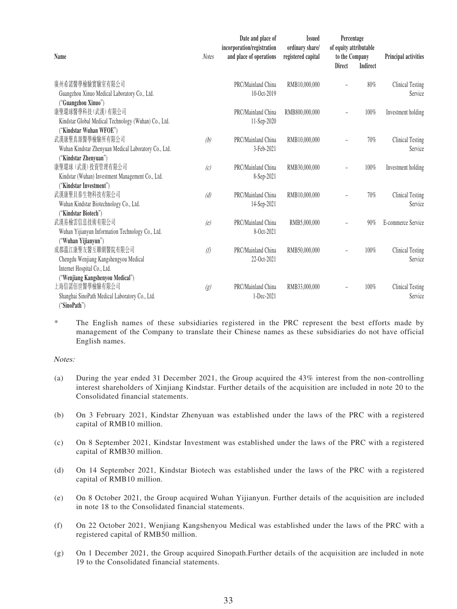|                                                      |              | Date and place of<br>incorporation/registration | <b>Issued</b><br>ordinary share/ | Percentage<br>of equity attributable |                 |                         |
|------------------------------------------------------|--------------|-------------------------------------------------|----------------------------------|--------------------------------------|-----------------|-------------------------|
| <b>Name</b>                                          | <b>Notes</b> | and place of operations                         | registered capital               | to the Company                       |                 | Principal activities    |
|                                                      |              |                                                 |                                  | <b>Direct</b>                        | <b>Indirect</b> |                         |
| 廣州希諾醫學檢驗實驗室有限公司                                      |              | PRC/Mainland China                              | RMB10,000,000                    |                                      | 80%             | <b>Clinical Testing</b> |
| Guangzhou Xinuo Medical Laboratory Co., Ltd.         |              | 10-Oct-2019                                     |                                  |                                      |                 | Service                 |
| ("Guangzhou Xinuo")                                  |              |                                                 |                                  |                                      |                 |                         |
| 康聖環球醫學科技 (武漢) 有限公司                                   |              | PRC/Mainland China                              | RMB800,000,000                   |                                      | 100%            | Investment holding      |
| Kindstar Global Medical Technology (Wuhan) Co., Ltd. |              | 11-Sep-2020                                     |                                  |                                      |                 |                         |
| "Kindstar Wuhan WFOE")                               |              |                                                 |                                  |                                      |                 |                         |
| 武漢康聖真源醫學檢驗所有限公司                                      | (b)          | PRC/Mainland China                              | RMB10,000,000                    |                                      | 70%             | <b>Clinical Testing</b> |
| Wuhan Kindstar Zhenyuan Medical Laboratory Co., Ltd. |              | 3-Feb-2021                                      |                                  |                                      |                 | Service                 |
| "Kindstar Zhenyuan")                                 |              |                                                 |                                  |                                      |                 |                         |
| 康聖環球 (武漢) 投資管理有限公司                                   | (c)          | PRC/Mainland China                              | RMB30,000,000                    |                                      | 100%            | Investment holding      |
| Kindstar (Wuhan) Investment Management Co., Ltd.     |              | 8-Sep-2021                                      |                                  |                                      |                 |                         |
| "Kindstar Investment")                               |              |                                                 |                                  |                                      |                 |                         |
| 武漢康聖貝泰生物科技有限公司                                       | (d)          | PRC/Mainland China                              | RMB10,000,000                    |                                      | 70%             | <b>Clinical Testing</b> |
| Wuhan Kindstar Biotechnology Co., Ltd.               |              | 14-Sep-2021                                     |                                  |                                      |                 | Service                 |
| "Kindstar Biotech")                                  |              |                                                 |                                  |                                      |                 |                         |
| 武漢易檢雲信息技術有限公司                                        | (e)          | PRC/Mainland China                              | RMB5,000,000                     |                                      | 90%             | E-commerce Service      |
| Wuhan Yijianyun Information Technology Co., Ltd.     |              | 8-Oct-2021                                      |                                  |                                      |                 |                         |
| ("Wuhan Yijianyun")                                  |              |                                                 |                                  |                                      |                 |                         |
| 成都溫江康聖友醫互聯網醫院有限公司                                    | (f)          | PRC/Mainland China                              | RMB50,000,000                    |                                      | 100%            | <b>Clinical Testing</b> |
| Chengdu Wenjiang Kangshengyou Medical                |              | 22-Oct-2021                                     |                                  |                                      |                 | Service                 |
| Internet Hospital Co., Ltd.                          |              |                                                 |                                  |                                      |                 |                         |
| ("Wenjiang Kangshenyou Medical")                     |              |                                                 |                                  |                                      |                 |                         |
| 上海信諾佰世醫學檢驗有限公司                                       | (g)          | PRC/Mainland China                              | RMB33,000,000                    |                                      | 100%            | <b>Clinical Testing</b> |
| Shanghai SinoPath Medical Laboratory Co., Ltd.       |              | 1-Dec-2021                                      |                                  |                                      |                 | Service                 |
| "SinoPath")                                          |              |                                                 |                                  |                                      |                 |                         |

\* The English names of these subsidiaries registered in the PRC represent the best efforts made by management of the Company to translate their Chinese names as these subsidiaries do not have official English names.

### Notes:

- (a) During the year ended 31 December 2021, the Group acquired the 43% interest from the non-controlling interest shareholders of Xinjiang Kindstar. Further details of the acquisition are included in note 20 to the Consolidated financial statements.
- (b) On 3 February 2021, Kindstar Zhenyuan was established under the laws of the PRC with a registered capital of RMB10 million.
- (c) On 8 September 2021, Kindstar Investment was established under the laws of the PRC with a registered capital of RMB30 million.
- (d) On 14 September 2021, Kindstar Biotech was established under the laws of the PRC with a registered capital of RMB10 million.
- (e) On 8 October 2021, the Group acquired Wuhan Yijianyun. Further details of the acquisition are included in note 18 to the Consolidated financial statements.
- (f) On 22 October 2021, Wenjiang Kangshenyou Medical was established under the laws of the PRC with a registered capital of RMB50 million.
- (g) On 1 December 2021, the Group acquired Sinopath.Further details of the acquisition are included in note 19 to the Consolidated financial statements.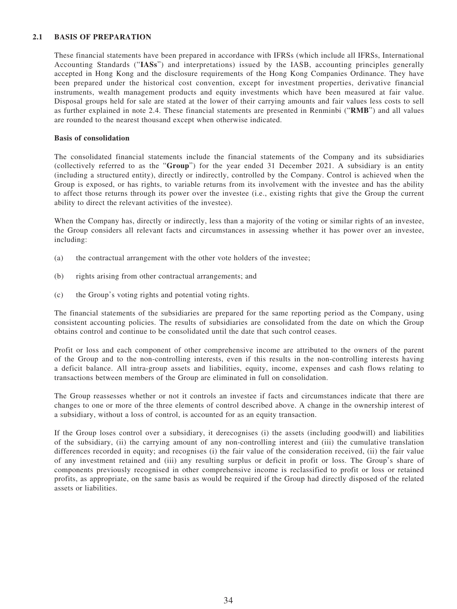### **2.1 BASIS OF PREPARATION**

These financial statements have been prepared in accordance with IFRSs (which include all IFRSs, International Accounting Standards ("**IASs**") and interpretations) issued by the IASB, accounting principles generally accepted in Hong Kong and the disclosure requirements of the Hong Kong Companies Ordinance. They have been prepared under the historical cost convention, except for investment properties, derivative financial instruments, wealth management products and equity investments which have been measured at fair value. Disposal groups held for sale are stated at the lower of their carrying amounts and fair values less costs to sell as further explained in note 2.4. These financial statements are presented in Renminbi ("**RMB**") and all values are rounded to the nearest thousand except when otherwise indicated.

### **Basis of consolidation**

The consolidated financial statements include the financial statements of the Company and its subsidiaries (collectively referred to as the "**Group**") for the year ended 31 December 2021. A subsidiary is an entity (including a structured entity), directly or indirectly, controlled by the Company. Control is achieved when the Group is exposed, or has rights, to variable returns from its involvement with the investee and has the ability to affect those returns through its power over the investee (i.e., existing rights that give the Group the current ability to direct the relevant activities of the investee).

When the Company has, directly or indirectly, less than a majority of the voting or similar rights of an investee, the Group considers all relevant facts and circumstances in assessing whether it has power over an investee, including:

- (a) the contractual arrangement with the other vote holders of the investee;
- (b) rights arising from other contractual arrangements; and
- (c) the Group's voting rights and potential voting rights.

The financial statements of the subsidiaries are prepared for the same reporting period as the Company, using consistent accounting policies. The results of subsidiaries are consolidated from the date on which the Group obtains control and continue to be consolidated until the date that such control ceases.

Profit or loss and each component of other comprehensive income are attributed to the owners of the parent of the Group and to the non-controlling interests, even if this results in the non-controlling interests having a deficit balance. All intra-group assets and liabilities, equity, income, expenses and cash flows relating to transactions between members of the Group are eliminated in full on consolidation.

The Group reassesses whether or not it controls an investee if facts and circumstances indicate that there are changes to one or more of the three elements of control described above. A change in the ownership interest of a subsidiary, without a loss of control, is accounted for as an equity transaction.

If the Group loses control over a subsidiary, it derecognises (i) the assets (including goodwill) and liabilities of the subsidiary, (ii) the carrying amount of any non-controlling interest and (iii) the cumulative translation differences recorded in equity; and recognises (i) the fair value of the consideration received, (ii) the fair value of any investment retained and (iii) any resulting surplus or deficit in profit or loss. The Group's share of components previously recognised in other comprehensive income is reclassified to profit or loss or retained profits, as appropriate, on the same basis as would be required if the Group had directly disposed of the related assets or liabilities.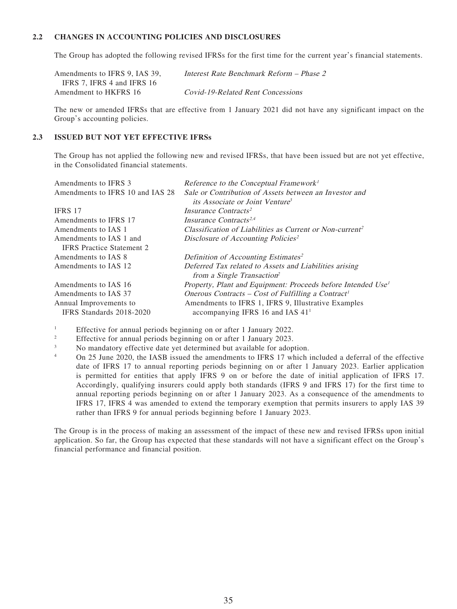### **2.2 CHANGES IN ACCOUNTING POLICIES AND DISCLOSURES**

The Group has adopted the following revised IFRSs for the first time for the current year's financial statements.

| Amendments to IFRS 9, IAS 39, | Interest Rate Benchmark Reform – Phase 2 |
|-------------------------------|------------------------------------------|
| IFRS 7. IFRS 4 and IFRS 16    |                                          |
| Amendment to HKFRS 16         | Covid-19-Related Rent Concessions        |

The new or amended IFRSs that are effective from 1 January 2021 did not have any significant impact on the Group's accounting policies.

### **2.3 ISSUED BUT NOT YET EFFECTIVE IFRSs**

The Group has not applied the following new and revised IFRSs, that have been issued but are not yet effective, in the Consolidated financial statements.

| Amendments to IFRS 3             | Reference to the Conceptual Framework <sup>1</sup>                       |
|----------------------------------|--------------------------------------------------------------------------|
| Amendments to IFRS 10 and IAS 28 | Sale or Contribution of Assets between an Investor and                   |
|                                  | <i>its Associate or Joint Venture</i> <sup>3</sup>                       |
| IFRS 17                          | Insurance Contracts <sup>2</sup>                                         |
| Amendments to IFRS 17            | Insurance Contracts <sup>2,4</sup>                                       |
| Amendments to IAS 1              | Classification of Liabilities as Current or Non-current <sup>2</sup>     |
| Amendments to IAS 1 and          | Disclosure of Accounting Policies <sup>2</sup>                           |
| <b>IFRS</b> Practice Statement 2 |                                                                          |
| Amendments to IAS 8              | Definition of Accounting Estimates <sup>2</sup>                          |
| Amendments to IAS 12             | Deferred Tax related to Assets and Liabilities arising                   |
|                                  | from a Single Transaction <sup>2</sup>                                   |
| Amendments to IAS 16             | Property, Plant and Equipment: Proceeds before Intended Use <sup>1</sup> |
| Amendments to IAS 37             | Onerous Contracts – Cost of Fulfilling a Contract <sup>1</sup>           |
| Annual Improvements to           | Amendments to IFRS 1, IFRS 9, Illustrative Examples                      |
| IFRS Standards 2018-2020         | accompanying IFRS 16 and IAS $411$                                       |

1 Effective for annual periods beginning on or after 1 January 2022.

2 Effective for annual periods beginning on or after 1 January 2023.

3 No mandatory effective date yet determined but available for adoption.

4 On 25 June 2020, the IASB issued the amendments to IFRS 17 which included a deferral of the effective date of IFRS 17 to annual reporting periods beginning on or after 1 January 2023. Earlier application is permitted for entities that apply IFRS 9 on or before the date of initial application of IFRS 17. Accordingly, qualifying insurers could apply both standards (IFRS 9 and IFRS 17) for the first time to annual reporting periods beginning on or after 1 January 2023. As a consequence of the amendments to IFRS 17, IFRS 4 was amended to extend the temporary exemption that permits insurers to apply IAS 39 rather than IFRS 9 for annual periods beginning before 1 January 2023.

The Group is in the process of making an assessment of the impact of these new and revised IFRSs upon initial application. So far, the Group has expected that these standards will not have a significant effect on the Group's financial performance and financial position.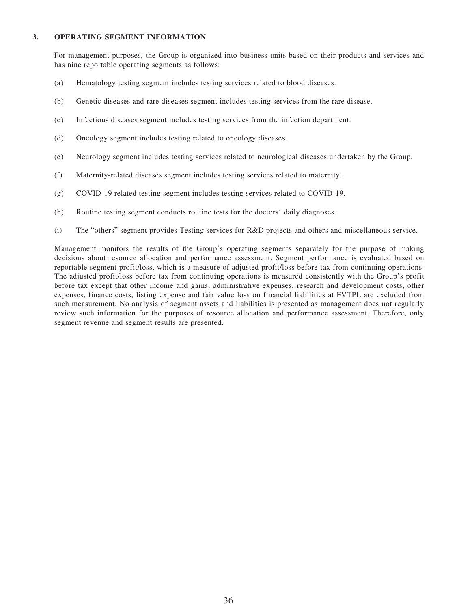#### **3. OPERATING SEGMENT INFORMATION**

For management purposes, the Group is organized into business units based on their products and services and has nine reportable operating segments as follows:

- (a) Hematology testing segment includes testing services related to blood diseases.
- (b) Genetic diseases and rare diseases segment includes testing services from the rare disease.
- (c) Infectious diseases segment includes testing services from the infection department.
- (d) Oncology segment includes testing related to oncology diseases.
- (e) Neurology segment includes testing services related to neurological diseases undertaken by the Group.
- (f) Maternity-related diseases segment includes testing services related to maternity.
- (g) COVID-19 related testing segment includes testing services related to COVID-19.
- (h) Routine testing segment conducts routine tests for the doctors' daily diagnoses.
- (i) The "others" segment provides Testing services for R&D projects and others and miscellaneous service.

Management monitors the results of the Group's operating segments separately for the purpose of making decisions about resource allocation and performance assessment. Segment performance is evaluated based on reportable segment profit/loss, which is a measure of adjusted profit/loss before tax from continuing operations. The adjusted profit/loss before tax from continuing operations is measured consistently with the Group's profit before tax except that other income and gains, administrative expenses, research and development costs, other expenses, finance costs, listing expense and fair value loss on financial liabilities at FVTPL are excluded from such measurement. No analysis of segment assets and liabilities is presented as management does not regularly review such information for the purposes of resource allocation and performance assessment. Therefore, only segment revenue and segment results are presented.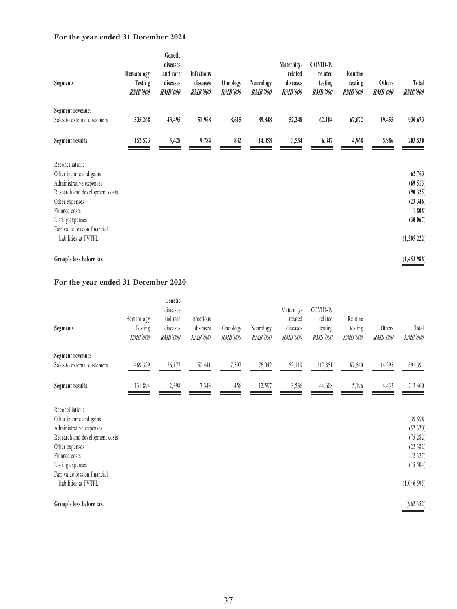## **For the year ended 31 December 2021**

| <b>Segments</b>                                      | <b>Hematology</b><br><b>Testing</b><br>RMB'000 | Genetic<br>diseases<br>and rare<br>diseases<br><b>RMB'000</b> | <b>Infectious</b><br>diseases<br>RMB'000 | Oncology<br><b>RMB'000</b> | <b>Neurology</b><br>RMB'000 | Maternity-<br>related<br>diseases<br><b>RMB'000</b> | COVID-19<br>related<br>testing<br><b>RMB'000</b> | Routine<br>testing<br><b>RMB'000</b> | <b>Others</b><br><b>RMB'000</b> | <b>Total</b><br><b>RMB'000</b> |
|------------------------------------------------------|------------------------------------------------|---------------------------------------------------------------|------------------------------------------|----------------------------|-----------------------------|-----------------------------------------------------|--------------------------------------------------|--------------------------------------|---------------------------------|--------------------------------|
| Segment revenue:<br>Sales to external customers      | 535,268                                        | 43,495                                                        | 51,968                                   | 8,615                      | 89,848                      | 52,248                                              | 62,104                                           | 67,672                               | 19,455                          | 930,673                        |
|                                                      |                                                |                                                               |                                          |                            |                             |                                                     |                                                  |                                      |                                 |                                |
| <b>Segment results</b>                               | 152,573                                        | 5,428                                                         | 9,784                                    | 832                        | 14,058                      | 3,554                                               | 6,347                                            | 4,968                                | 5,986                           | 203,530                        |
| Reconciliation:                                      |                                                |                                                               |                                          |                            |                             |                                                     |                                                  |                                      |                                 |                                |
| Other income and gains                               |                                                |                                                               |                                          |                            |                             |                                                     |                                                  |                                      |                                 | 62,763                         |
| Administrative expenses                              |                                                |                                                               |                                          |                            |                             |                                                     |                                                  |                                      |                                 | (69, 513)                      |
| Research and development costs                       |                                                |                                                               |                                          |                            |                             |                                                     |                                                  |                                      |                                 | (90, 325)                      |
| Other expenses                                       |                                                |                                                               |                                          |                            |                             |                                                     |                                                  |                                      |                                 | (23, 346)                      |
| Finance costs                                        |                                                |                                                               |                                          |                            |                             |                                                     |                                                  |                                      |                                 | (1, 808)                       |
| Listing expenses                                     |                                                |                                                               |                                          |                            |                             |                                                     |                                                  |                                      |                                 | (30,067)                       |
| Fair value loss on financial<br>liabilities at FVTPL |                                                |                                                               |                                          |                            |                             |                                                     |                                                  |                                      |                                 | (1,505,222)                    |
| Group's loss before tax                              |                                                |                                                               |                                          |                            |                             |                                                     |                                                  |                                      |                                 | (1,453,988)                    |

# **For the year ended 31 December 2020**

| <b>Segments</b>                                                      | Hematology<br>Testing<br><i>RMB'000</i> | Genetic<br>diseases<br>and rare<br>diseases<br><i>RMB'000</i> | Infectious<br>diseases<br><b>RMB'000</b> | Oncology<br><i>RMB'000</i> | Neurology<br><b>RMB'000</b> | Maternity-<br>related<br>diseases<br><i>RMB'000</i> | COVID-19<br>related<br>testing<br><b>RMB'000</b> | Routine<br>testing<br><b>RMB'000</b> | Others<br><i>RMB'000</i> | Total<br><i>RMB'000</i> |
|----------------------------------------------------------------------|-----------------------------------------|---------------------------------------------------------------|------------------------------------------|----------------------------|-----------------------------|-----------------------------------------------------|--------------------------------------------------|--------------------------------------|--------------------------|-------------------------|
| Segment revenue:<br>Sales to external customers                      |                                         | 36,177                                                        | 50,441                                   |                            | 76,042                      |                                                     | 117,851                                          |                                      |                          |                         |
|                                                                      | 469,329                                 |                                                               |                                          | 7,597                      |                             | 52,119                                              |                                                  | 67,540                               | 14,295                   | 891,391                 |
| <b>Segment results</b>                                               | 131,894                                 | 2,398                                                         | 7,343                                    | 456                        | 12,597                      | 3,536                                               | 44,608                                           | 5,196                                | 4,432                    | 212,460                 |
| Reconciliation:<br>Other income and gains<br>Administrative expenses |                                         |                                                               |                                          |                            |                             |                                                     |                                                  |                                      |                          | 39,598<br>(52, 320)     |

| Research and development costs | (15, 282)   |
|--------------------------------|-------------|
| Other expenses                 | (22, 382)   |
| Finance costs                  | (2, 327)    |
| Listing expenses               | (15,504)    |
| Fair value loss on financial   |             |
| liabilities at FVTPL           | (1,046,595) |
|                                |             |
|                                |             |

**Group's loss before tax** (962,352)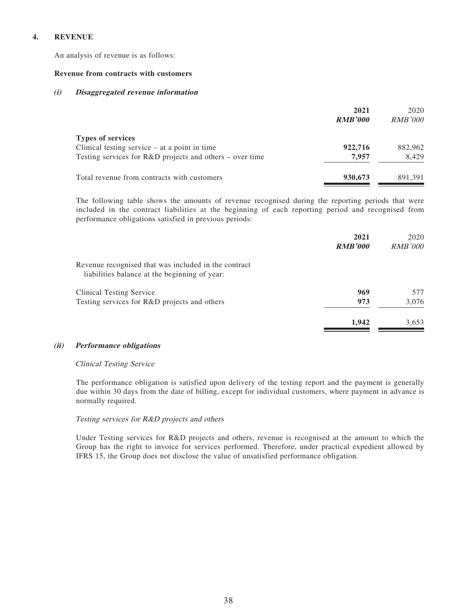### **4. REVENUE**

An analysis of revenue is as follows:

#### **Revenue from contracts with customers**

#### **(i) Disaggregated revenue information**

|                                                                                                                                           | 2021<br><b>RMB'000</b> | 2020<br><i>RMB'000</i> |
|-------------------------------------------------------------------------------------------------------------------------------------------|------------------------|------------------------|
| <b>Types of services</b><br>Clinical testing service $-$ at a point in time<br>Testing services for $R&D$ projects and others – over time | 922,716<br>7.957       | 882,962<br>8.429       |
| Total revenue from contracts with customers                                                                                               | 930,673                | 891.391                |

The following table shows the amounts of revenue recognised during the reporting periods that were included in the contract liabilities at the beginning of each reporting period and recognised from performance obligations satisfied in previous periods:

|                                                                                                       | 2021<br><b>RMB'000</b> | 2020<br><i>RMB'000</i> |
|-------------------------------------------------------------------------------------------------------|------------------------|------------------------|
| Revenue recognised that was included in the contract<br>liabilities balance at the beginning of year: |                        |                        |
| Clinical Testing Service                                                                              | 969                    | 577                    |
| Testing services for R&D projects and others                                                          | 973                    | 3,076                  |
|                                                                                                       | 1,942                  | 3,653                  |

### **(ii) Performance obligations**

### Clinical Testing Service

The performance obligation is satisfied upon delivery of the testing report and the payment is generally due within 30 days from the date of billing, except for individual customers, where payment in advance is normally required.

### Testing services for R&D projects and others

Under Testing services for R&D projects and others, revenue is recognised at the amount to which the Group has the right to invoice for services performed. Therefore, under practical expedient allowed by IFRS 15, the Group does not disclose the value of unsatisfied performance obligation.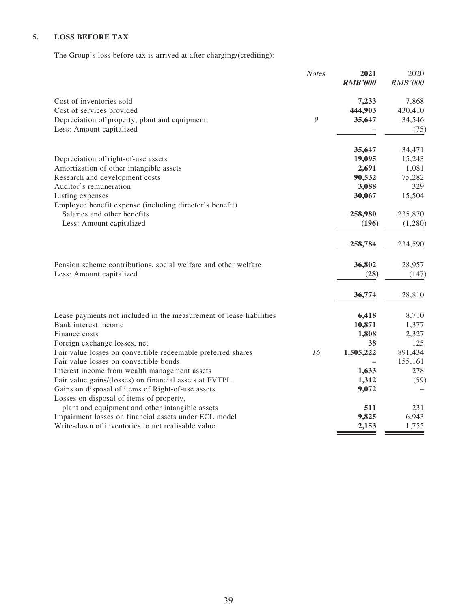## **5. LOSS BEFORE TAX**

The Group's loss before tax is arrived at after charging/(crediting):

|                                                                     | <b>Notes</b> | 2021           | 2020           |
|---------------------------------------------------------------------|--------------|----------------|----------------|
|                                                                     |              | <b>RMB'000</b> | <b>RMB'000</b> |
| Cost of inventories sold                                            |              | 7,233          | 7,868          |
| Cost of services provided                                           |              | 444,903        | 430,410        |
| Depreciation of property, plant and equipment                       | 9            | 35,647         | 34,546         |
| Less: Amount capitalized                                            |              |                | (75)           |
|                                                                     |              | 35,647         | 34,471         |
| Depreciation of right-of-use assets                                 |              | 19,095         | 15,243         |
| Amortization of other intangible assets                             |              | 2,691          | 1,081          |
| Research and development costs                                      |              | 90,532         | 75,282         |
| Auditor's remuneration                                              |              | 3,088          | 329            |
| Listing expenses                                                    |              | 30,067         | 15,504         |
| Employee benefit expense (including director's benefit)             |              |                |                |
| Salaries and other benefits                                         |              | 258,980        | 235,870        |
| Less: Amount capitalized                                            |              | (196)          | (1,280)        |
|                                                                     |              | 258,784        | 234,590        |
| Pension scheme contributions, social welfare and other welfare      |              | 36,802         | 28,957         |
| Less: Amount capitalized                                            |              | (28)           | (147)          |
|                                                                     |              | 36,774         | 28,810         |
| Lease payments not included in the measurement of lease liabilities |              | 6,418          | 8,710          |
| Bank interest income                                                |              | 10,871         | 1,377          |
| Finance costs                                                       |              | 1,808          | 2,327          |
| Foreign exchange losses, net                                        |              | 38             | 125            |
| Fair value losses on convertible redeemable preferred shares        | 16           | 1,505,222      | 891,434        |
| Fair value losses on convertible bonds                              |              |                | 155,161        |
| Interest income from wealth management assets                       |              | 1,633          | 278            |
| Fair value gains/(losses) on financial assets at FVTPL              |              | 1,312          | (59)           |
| Gains on disposal of items of Right-of-use assets                   |              | 9,072          |                |
| Losses on disposal of items of property,                            |              |                |                |
| plant and equipment and other intangible assets                     |              | 511            | 231            |
| Impairment losses on financial assets under ECL model               |              | 9,825          | 6,943          |
| Write-down of inventories to net realisable value                   |              | 2,153          | 1,755          |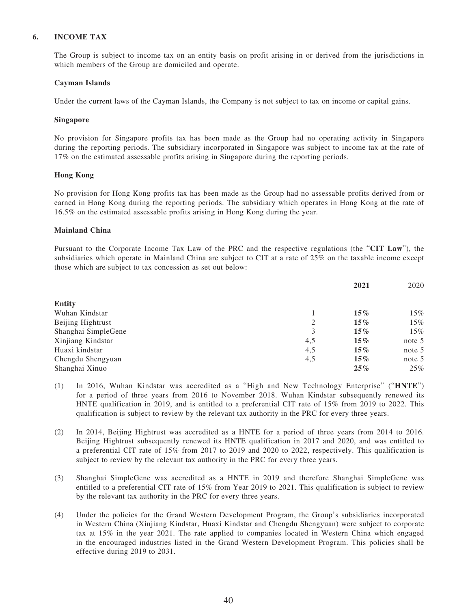### **6. INCOME TAX**

The Group is subject to income tax on an entity basis on profit arising in or derived from the jurisdictions in which members of the Group are domiciled and operate.

#### **Cayman Islands**

Under the current laws of the Cayman Islands, the Company is not subject to tax on income or capital gains.

#### **Singapore**

No provision for Singapore profits tax has been made as the Group had no operating activity in Singapore during the reporting periods. The subsidiary incorporated in Singapore was subject to income tax at the rate of 17% on the estimated assessable profits arising in Singapore during the reporting periods.

#### **Hong Kong**

No provision for Hong Kong profits tax has been made as the Group had no assessable profits derived from or earned in Hong Kong during the reporting periods. The subsidiary which operates in Hong Kong at the rate of 16.5% on the estimated assessable profits arising in Hong Kong during the year.

#### **Mainland China**

Pursuant to the Corporate Income Tax Law of the PRC and the respective regulations (the "**CIT Law**"), the subsidiaries which operate in Mainland China are subject to CIT at a rate of 25% on the taxable income except those which are subject to tax concession as set out below:

|                     |     | 2021   | 2020   |
|---------------------|-----|--------|--------|
| <b>Entity</b>       |     |        |        |
| Wuhan Kindstar      |     | $15\%$ | 15%    |
| Beijing Hightrust   | 2   | $15\%$ | 15%    |
| Shanghai SimpleGene | 3   | $15\%$ | 15%    |
| Xinjiang Kindstar   | 4,5 | $15\%$ | note 5 |
| Huaxi kindstar      | 4,5 | $15\%$ | note 5 |
| Chengdu Shengyuan   | 4,5 | $15\%$ | note 5 |
| Shanghai Xinuo      |     | $25\%$ | 25%    |

- (1) In 2016, Wuhan Kindstar was accredited as a "High and New Technology Enterprise" ("**HNTE**") for a period of three years from 2016 to November 2018. Wuhan Kindstar subsequently renewed its HNTE qualification in 2019, and is entitled to a preferential CIT rate of 15% from 2019 to 2022. This qualification is subject to review by the relevant tax authority in the PRC for every three years.
- (2) In 2014, Beijing Hightrust was accredited as a HNTE for a period of three years from 2014 to 2016. Beijing Hightrust subsequently renewed its HNTE qualification in 2017 and 2020, and was entitled to a preferential CIT rate of 15% from 2017 to 2019 and 2020 to 2022, respectively. This qualification is subject to review by the relevant tax authority in the PRC for every three years.
- (3) Shanghai SimpleGene was accredited as a HNTE in 2019 and therefore Shanghai SimpleGene was entitled to a preferential CIT rate of 15% from Year 2019 to 2021. This qualification is subject to review by the relevant tax authority in the PRC for every three years.
- (4) Under the policies for the Grand Western Development Program, the Group's subsidiaries incorporated in Western China (Xinjiang Kindstar, Huaxi Kindstar and Chengdu Shengyuan) were subject to corporate tax at 15% in the year 2021. The rate applied to companies located in Western China which engaged in the encouraged industries listed in the Grand Western Development Program. This policies shall be effective during 2019 to 2031.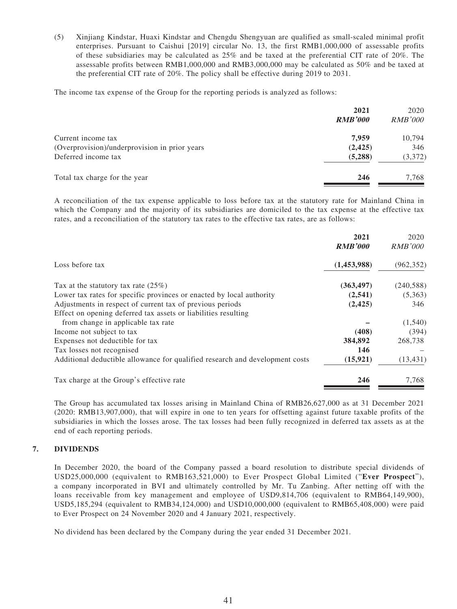(5) Xinjiang Kindstar, Huaxi Kindstar and Chengdu Shengyuan are qualified as small-scaled minimal profit enterprises. Pursuant to Caishui [2019] circular No. 13, the first RMB1,000,000 of assessable profits of these subsidiaries may be calculated as 25% and be taxed at the preferential CIT rate of 20%. The assessable profits between RMB1,000,000 and RMB3,000,000 may be calculated as 50% and be taxed at the preferential CIT rate of 20%. The policy shall be effective during 2019 to 2031.

The income tax expense of the Group for the reporting periods is analyzed as follows:

|                                               | 2021<br><b>RMB'000</b> | 2020<br><i>RMB'000</i> |
|-----------------------------------------------|------------------------|------------------------|
| Current income tax                            | 7.959                  | 10,794                 |
| (Overprovision)/underprovision in prior years | (2, 425)               | 346                    |
| Deferred income tax                           | (5,288)                | (3,372)                |
| Total tax charge for the year                 | 246                    | 7.768                  |

A reconciliation of the tax expense applicable to loss before tax at the statutory rate for Mainland China in which the Company and the majority of its subsidiaries are domiciled to the tax expense at the effective tax rates, and a reconciliation of the statutory tax rates to the effective tax rates, are as follows:

|                                                                              | 2021<br><b>RMB'000</b> | 2020<br><i>RMB'000</i> |
|------------------------------------------------------------------------------|------------------------|------------------------|
| Loss before tax                                                              | (1,453,988)            | (962, 352)             |
| Tax at the statutory tax rate $(25%)$                                        | (363, 497)             | (240, 588)             |
| Lower tax rates for specific provinces or enacted by local authority         | (2,541)                | (5,363)                |
| Adjustments in respect of current tax of previous periods                    | (2, 425)               | 346                    |
| Effect on opening deferred tax assets or liabilities resulting               |                        |                        |
| from change in applicable tax rate                                           |                        | (1,540)                |
| Income not subject to tax                                                    | (408)                  | (394)                  |
| Expenses not deductible for tax                                              | 384,892                | 268,738                |
| Tax losses not recognised                                                    | 146                    |                        |
| Additional deductible allowance for qualified research and development costs | (15, 921)              | (13, 431)              |
| Tax charge at the Group's effective rate                                     | 246                    | 7,768                  |

The Group has accumulated tax losses arising in Mainland China of RMB26,627,000 as at 31 December 2021 (2020: RMB13,907,000), that will expire in one to ten years for offsetting against future taxable profits of the subsidiaries in which the losses arose. The tax losses had been fully recognized in deferred tax assets as at the end of each reporting periods.

### **7. DIVIDENDS**

In December 2020, the board of the Company passed a board resolution to distribute special dividends of USD25,000,000 (equivalent to RMB163,521,000) to Ever Prospect Global Limited ("**Ever Prospect**"), a company incorporated in BVI and ultimately controlled by Mr. Tu Zanbing. After netting off with the loans receivable from key management and employee of USD9,814,706 (equivalent to RMB64,149,900), USD5,185,294 (equivalent to RMB34,124,000) and USD10,000,000 (equivalent to RMB65,408,000) were paid to Ever Prospect on 24 November 2020 and 4 January 2021, respectively.

No dividend has been declared by the Company during the year ended 31 December 2021.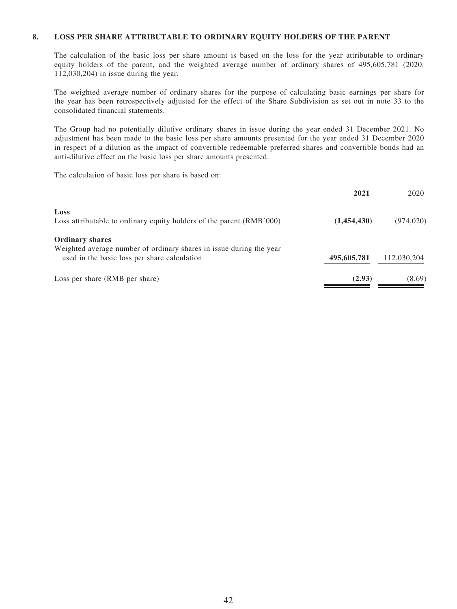#### **8. LOSS PER SHARE ATTRIBUTABLE TO ORDINARY EQUITY HOLDERS OF THE PARENT**

The calculation of the basic loss per share amount is based on the loss for the year attributable to ordinary equity holders of the parent, and the weighted average number of ordinary shares of 495,605,781 (2020: 112,030,204) in issue during the year.

The weighted average number of ordinary shares for the purpose of calculating basic earnings per share for the year has been retrospectively adjusted for the effect of the Share Subdivision as set out in note 33 to the consolidated financial statements.

The Group had no potentially dilutive ordinary shares in issue during the year ended 31 December 2021. No adjustment has been made to the basic loss per share amounts presented for the year ended 31 December 2020 in respect of a dilution as the impact of convertible redeemable preferred shares and convertible bonds had an anti-dilutive effect on the basic loss per share amounts presented.

The calculation of basic loss per share is based on:

|                                                                      | 2021        | 2020        |
|----------------------------------------------------------------------|-------------|-------------|
| Loss                                                                 |             |             |
| Loss attributable to ordinary equity holders of the parent (RMB'000) | (1,454,430) | (974, 020)  |
| <b>Ordinary shares</b>                                               |             |             |
| Weighted average number of ordinary shares in issue during the year  |             |             |
| used in the basic loss per share calculation                         | 495,605,781 | 112,030,204 |
| Loss per share (RMB per share)                                       | (2.93)      | (8.69)      |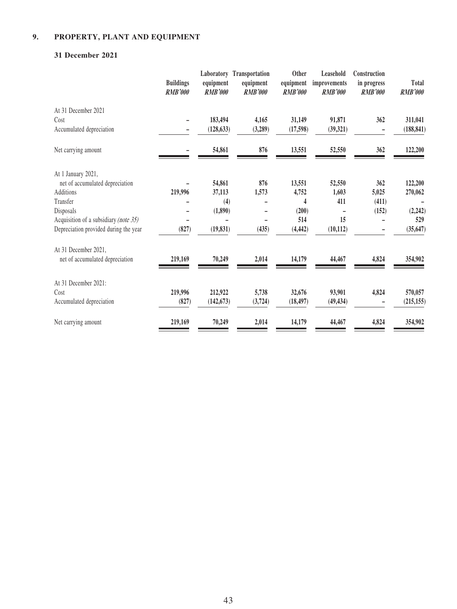# **9. PROPERTY, PLANT AND EQUIPMENT**

### **31 December 2021**

|                                       | <b>Buildings</b><br><b>RMB'000</b> | equipment<br><b>RMB'000</b> | Laboratory Transportation<br>equipment<br><b>RMB'000</b> | Other<br>equipment<br><b>RMB'000</b> | Leasehold<br>improvements<br><b>RMB'000</b> | Construction<br>in progress<br><b>RMB'000</b> | Total<br><b>RMB'000</b> |
|---------------------------------------|------------------------------------|-----------------------------|----------------------------------------------------------|--------------------------------------|---------------------------------------------|-----------------------------------------------|-------------------------|
| At 31 December 2021                   |                                    |                             |                                                          |                                      |                                             |                                               |                         |
| Cost                                  |                                    | 183,494                     | 4,165                                                    | 31,149                               | 91,871                                      | 362                                           | 311,041                 |
| Accumulated depreciation              |                                    | (128, 633)                  | (3,289)                                                  | (17,598)                             | (39, 321)                                   |                                               | (188, 841)              |
| Net carrying amount                   |                                    | 54,861                      | 876                                                      | 13,551                               | 52,550                                      | 362                                           | 122,200                 |
| At 1 January 2021,                    |                                    |                             |                                                          |                                      |                                             |                                               |                         |
| net of accumulated depreciation       |                                    | 54,861                      | 876                                                      | 13,551                               | 52,550                                      | 362                                           | 122,200                 |
| Additions                             | 219,996                            | 37,113                      | 1,573                                                    | 4,752                                | 1,603                                       | 5,025                                         | 270,062                 |
| Transfer                              |                                    | (4)                         |                                                          | 4                                    | 411                                         | (411)                                         |                         |
| Disposals                             |                                    | (1,890)                     |                                                          | (200)                                |                                             | (152)                                         | (2,242)                 |
| Acquisition of a subsidiary (note 35) |                                    |                             |                                                          | 514                                  | 15                                          |                                               | 529                     |
| Depreciation provided during the year | (827)                              | (19, 831)                   | (435)                                                    | (4, 442)                             | (10, 112)                                   |                                               | (35, 647)               |
| At 31 December 2021,                  |                                    |                             |                                                          |                                      |                                             |                                               |                         |
| net of accumulated depreciation       | 219,169                            | 70,249                      | 2,014                                                    | 14,179                               | 44,467                                      | 4,824                                         | 354,902                 |
| At 31 December 2021:                  |                                    |                             |                                                          |                                      |                                             |                                               |                         |
| Cost                                  | 219,996                            | 212,922                     | 5,738                                                    | 32,676                               | 93,901                                      | 4,824                                         | 570,057                 |
| Accumulated depreciation              | (827)                              | (142, 673)                  | (3, 724)                                                 | (18, 497)                            | (49, 434)                                   |                                               | (215, 155)              |
| Net carrying amount                   | 219,169                            | 70,249                      | 2,014                                                    | 14,179                               | 44,467                                      | 4,824                                         | 354,902                 |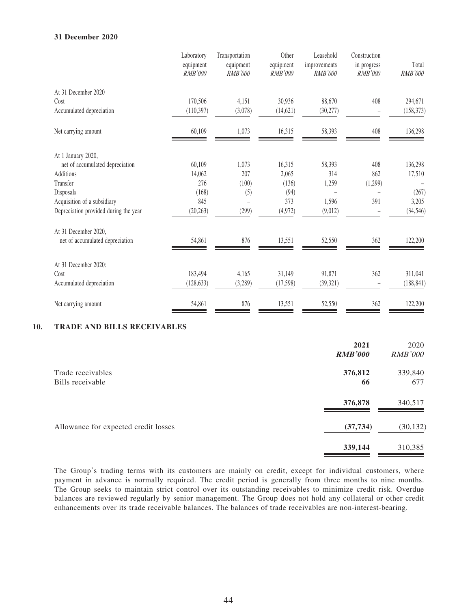#### **31 December 2020**

|                                       | Laboratory<br>equipment<br><b>RMB'000</b> | Transportation<br>equipment<br><b>RMB'000</b> | Other<br>equipment<br><b>RMB'000</b> | Leasehold<br>improvements<br><b>RMB'000</b> | Construction<br>in progress<br><b>RMB'000</b> | Total<br><b>RMB'000</b> |
|---------------------------------------|-------------------------------------------|-----------------------------------------------|--------------------------------------|---------------------------------------------|-----------------------------------------------|-------------------------|
| At 31 December 2020                   |                                           |                                               |                                      |                                             |                                               |                         |
| Cost                                  | 170,506                                   | 4,151                                         | 30,936                               | 88,670                                      | 408                                           | 294,671                 |
| Accumulated depreciation              | (110, 397)                                | (3,078)                                       | (14, 621)                            | (30, 277)                                   |                                               | (158, 373)              |
| Net carrying amount                   | 60,109                                    | 1,073                                         | 16,315                               | 58,393                                      | 408                                           | 136,298                 |
| At 1 January 2020,                    |                                           |                                               |                                      |                                             |                                               |                         |
| net of accumulated depreciation       | 60,109                                    | 1,073                                         | 16,315                               | 58,393                                      | 408                                           | 136,298                 |
| <b>Additions</b>                      | 14,062                                    | 207                                           | 2,065                                | 314                                         | 862                                           | 17,510                  |
| Transfer                              | 276                                       | (100)                                         | (136)                                | 1,259                                       | (1,299)                                       |                         |
| Disposals                             | (168)                                     | (5)                                           | (94)                                 |                                             |                                               | (267)                   |
| Acquisition of a subsidiary           | 845                                       | $\overline{a}$                                | 373                                  | 1,596                                       | 391                                           | 3,205                   |
| Depreciation provided during the year | (20, 263)                                 | (299)                                         | (4,972)                              | (9,012)                                     |                                               | (34, 546)               |
| At 31 December 2020,                  |                                           |                                               |                                      |                                             |                                               |                         |
| net of accumulated depreciation       | 54,861                                    | 876                                           | 13,551                               | 52,550                                      | 362                                           | 122,200                 |
| At 31 December 2020:                  |                                           |                                               |                                      |                                             |                                               |                         |
| Cost                                  | 183,494                                   | 4,165                                         | 31,149                               | 91,871                                      | 362                                           | 311,041                 |
| Accumulated depreciation              | (128, 633)                                | (3,289)                                       | (17,598)                             | (39, 321)                                   |                                               | (188, 841)              |
| Net carrying amount                   | 54,861                                    | 876                                           | 13,551                               | 52,550                                      | 362                                           | 122,200                 |

### **10. TRADE AND BILLS RECEIVABLES**

|                                      | 2021<br><b>RMB'000</b> | 2020<br><b>RMB'000</b> |
|--------------------------------------|------------------------|------------------------|
| Trade receivables                    | 376,812                | 339,840                |
| Bills receivable                     | 66                     | 677                    |
|                                      | 376,878                | 340,517                |
| Allowance for expected credit losses | (37, 734)              | (30, 132)              |
|                                      | 339,144                | 310,385                |

The Group's trading terms with its customers are mainly on credit, except for individual customers, where payment in advance is normally required. The credit period is generally from three months to nine months. The Group seeks to maintain strict control over its outstanding receivables to minimize credit risk. Overdue balances are reviewed regularly by senior management. The Group does not hold any collateral or other credit enhancements over its trade receivable balances. The balances of trade receivables are non-interest-bearing.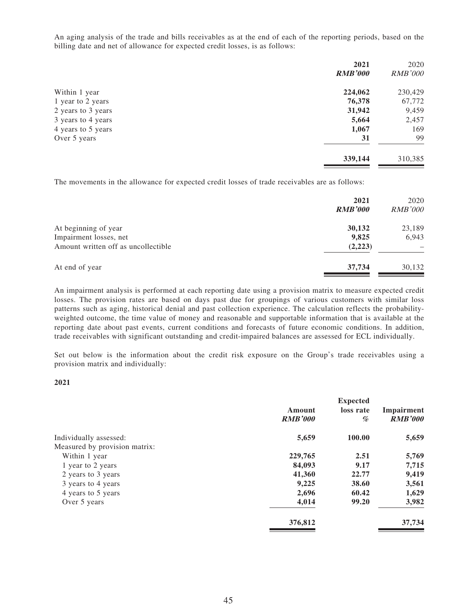An aging analysis of the trade and bills receivables as at the end of each of the reporting periods, based on the billing date and net of allowance for expected credit losses, is as follows:

| 2021           | 2020           |
|----------------|----------------|
| <b>RMB'000</b> | <b>RMB'000</b> |
| 224,062        | 230,429        |
| 76,378         | 67,772         |
| 31,942         | 9,459          |
| 5,664          | 2,457          |
| 1,067          | 169            |
| 31             | 99             |
| 339,144        | 310,385        |
|                |                |

The movements in the allowance for expected credit losses of trade receivables are as follows:

|                                     | 2021<br><b>RMB'000</b> | 2020<br><b>RMB'000</b> |
|-------------------------------------|------------------------|------------------------|
| At beginning of year                | 30,132                 | 23,189                 |
| Impairment losses, net              | 9,825                  | 6,943                  |
| Amount written off as uncollectible | (2,223)                |                        |
| At end of year                      | 37,734                 | 30,132                 |

An impairment analysis is performed at each reporting date using a provision matrix to measure expected credit losses. The provision rates are based on days past due for groupings of various customers with similar loss patterns such as aging, historical denial and past collection experience. The calculation reflects the probabilityweighted outcome, the time value of money and reasonable and supportable information that is available at the reporting date about past events, current conditions and forecasts of future economic conditions. In addition, trade receivables with significant outstanding and credit-impaired balances are assessed for ECL individually.

Set out below is the information about the credit risk exposure on the Group's trade receivables using a provision matrix and individually:

#### **2021**

|                               |                | <b>Expected</b> |                |
|-------------------------------|----------------|-----------------|----------------|
|                               | Amount         | loss rate       | Impairment     |
|                               | <b>RMB'000</b> | %               | <b>RMB'000</b> |
| Individually assessed:        | 5,659          | 100.00          | 5,659          |
| Measured by provision matrix: |                |                 |                |
| Within 1 year                 | 229,765        | 2.51            | 5,769          |
| 1 year to 2 years             | 84,093         | 9.17            | 7,715          |
| 2 years to 3 years            | 41,360         | 22.77           | 9,419          |
| 3 years to 4 years            | 9,225          | 38.60           | 3,561          |
| 4 years to 5 years            | 2,696          | 60.42           | 1,629          |
| Over 5 years                  | 4,014          | 99.20           | 3,982          |
|                               | 376,812        |                 | 37,734         |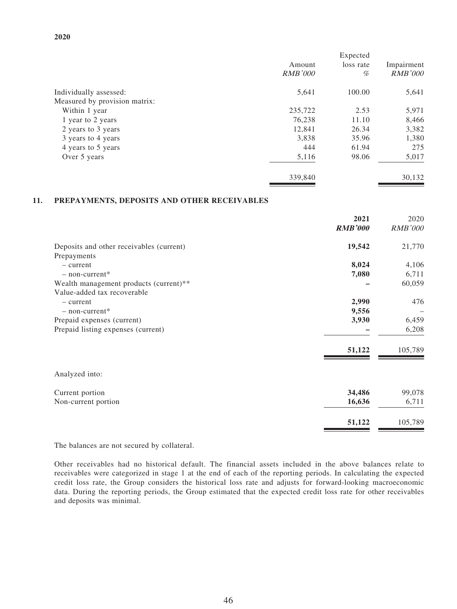|                               | Amount<br><i>RMB'000</i> | Expected<br>loss rate<br>% | Impairment<br><b>RMB'000</b> |
|-------------------------------|--------------------------|----------------------------|------------------------------|
| Individually assessed:        | 5,641                    | 100.00                     | 5,641                        |
| Measured by provision matrix: |                          |                            |                              |
| Within 1 year                 | 235,722                  | 2.53                       | 5,971                        |
| 1 year to 2 years             | 76,238                   | 11.10                      | 8,466                        |
| 2 years to 3 years            | 12,841                   | 26.34                      | 3,382                        |
| 3 years to 4 years            | 3,838                    | 35.96                      | 1,380                        |
| 4 years to 5 years            | 444                      | 61.94                      | 275                          |
| Over 5 years                  | 5,116                    | 98.06                      | 5,017                        |
|                               | 339,840                  |                            | 30,132                       |

#### **11. PREPAYMENTS, DEPOSITS AND OTHER RECEIVABLES**

| 2021<br><b>RMB'000</b>                             | 2020<br>RMB'000 |
|----------------------------------------------------|-----------------|
| 19,542<br>Deposits and other receivables (current) | 21,770          |
| Prepayments                                        |                 |
| 8,024<br>$-$ current                               | 4,106           |
| 7,080<br>$-$ non-current*                          | 6,711           |
| Wealth management products (current)**             | 60,059          |
| Value-added tax recoverable                        |                 |
| 2,990<br>$-$ current                               | 476             |
| 9,556<br>$-$ non-current <sup>*</sup>              |                 |
| 3,930<br>Prepaid expenses (current)                | 6,459           |
| Prepaid listing expenses (current)                 | 6,208           |
| 51,122                                             | 105,789         |
| Analyzed into:                                     |                 |
| 34,486<br>Current portion                          | 99,078          |
| 16,636<br>Non-current portion                      | 6,711           |
| 51,122                                             | 105,789         |

The balances are not secured by collateral.

Other receivables had no historical default. The financial assets included in the above balances relate to receivables were categorized in stage 1 at the end of each of the reporting periods. In calculating the expected credit loss rate, the Group considers the historical loss rate and adjusts for forward-looking macroeconomic data. During the reporting periods, the Group estimated that the expected credit loss rate for other receivables and deposits was minimal.

#### **2020**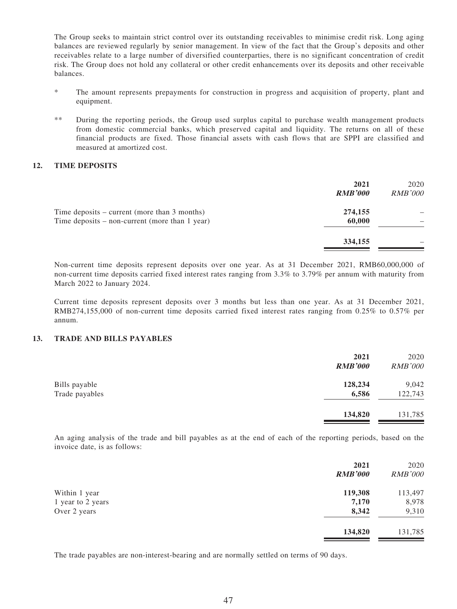The Group seeks to maintain strict control over its outstanding receivables to minimise credit risk. Long aging balances are reviewed regularly by senior management. In view of the fact that the Group's deposits and other receivables relate to a large number of diversified counterparties, there is no significant concentration of credit risk. The Group does not hold any collateral or other credit enhancements over its deposits and other receivable balances.

- \* The amount represents prepayments for construction in progress and acquisition of property, plant and equipment.
- \*\* During the reporting periods, the Group used surplus capital to purchase wealth management products from domestic commercial banks, which preserved capital and liquidity. The returns on all of these financial products are fixed. Those financial assets with cash flows that are SPPI are classified and measured at amortized cost.

#### **12. TIME DEPOSITS**

|                                                                                                  | 2021<br><b>RMB'000</b> | 2020<br><b>RMB'000</b> |
|--------------------------------------------------------------------------------------------------|------------------------|------------------------|
| Time deposits – current (more than 3 months)<br>Time deposits $-$ non-current (more than 1 year) | 274,155<br>60,000      |                        |
|                                                                                                  | 334,155                |                        |

Non-current time deposits represent deposits over one year. As at 31 December 2021, RMB60,000,000 of non-current time deposits carried fixed interest rates ranging from 3.3% to 3.79% per annum with maturity from March 2022 to January 2024.

Current time deposits represent deposits over 3 months but less than one year. As at 31 December 2021, RMB274,155,000 of non-current time deposits carried fixed interest rates ranging from 0.25% to 0.57% per annum.

#### **13. TRADE AND BILLS PAYABLES**

| <b>RMB'000</b> | 2020<br><b>RMB'000</b> |
|----------------|------------------------|
| 128,234        | 9,042                  |
| 6,586          | 122,743                |
| 134,820        | 131,785                |
|                | 2021                   |

An aging analysis of the trade and bill payables as at the end of each of the reporting periods, based on the invoice date, is as follows:

|                   | 2021<br><b>RMB'000</b> | 2020<br><b>RMB'000</b> |
|-------------------|------------------------|------------------------|
| Within 1 year     | 119,308                | 113,497                |
| 1 year to 2 years | 7,170                  | 8,978                  |
| Over 2 years      | 8,342                  | 9,310                  |
|                   | 134,820                | 131,785                |
|                   |                        |                        |

The trade payables are non-interest-bearing and are normally settled on terms of 90 days.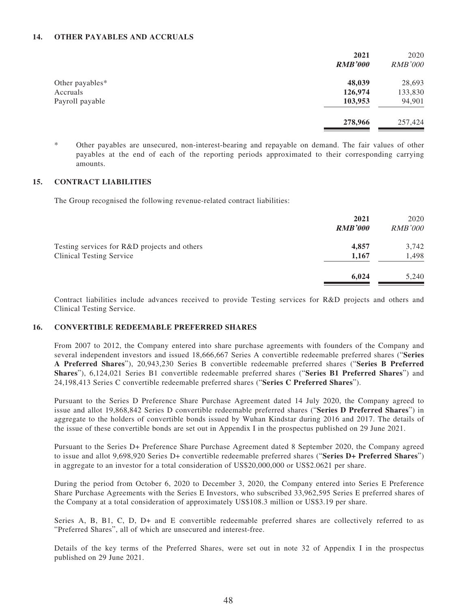#### **14. OTHER PAYABLES AND ACCRUALS**

|                 | 2021<br><b>RMB'000</b> | 2020<br><b>RMB'000</b> |
|-----------------|------------------------|------------------------|
|                 |                        |                        |
| Other payables* | 48,039                 | 28,693                 |
| Accruals        | 126,974                | 133,830                |
| Payroll payable | 103,953                | 94,901                 |
|                 | 278,966                | 257,424                |

Other payables are unsecured, non-interest-bearing and repayable on demand. The fair values of other payables at the end of each of the reporting periods approximated to their corresponding carrying amounts.

### **15. CONTRACT LIABILITIES**

The Group recognised the following revenue-related contract liabilities:

|                                              | 2021<br><b>RMB'000</b> | 2020<br><b>RMB'000</b> |
|----------------------------------------------|------------------------|------------------------|
| Testing services for R&D projects and others | 4,857                  | 3,742                  |
| <b>Clinical Testing Service</b>              | 1,167                  | 1,498                  |
|                                              | 6,024                  | 5,240                  |

Contract liabilities include advances received to provide Testing services for R&D projects and others and Clinical Testing Service.

### **16. CONVERTIBLE REDEEMABLE PREFERRED SHARES**

From 2007 to 2012, the Company entered into share purchase agreements with founders of the Company and several independent investors and issued 18,666,667 Series A convertible redeemable preferred shares ("**Series A Preferred Shares**"), 20,943,230 Series B convertible redeemable preferred shares ("**Series B Preferred Shares**"), 6,124,021 Series B1 convertible redeemable preferred shares ("**Series B1 Preferred Shares**") and 24,198,413 Series C convertible redeemable preferred shares ("**Series C Preferred Shares**").

Pursuant to the Series D Preference Share Purchase Agreement dated 14 July 2020, the Company agreed to issue and allot 19,868,842 Series D convertible redeemable preferred shares ("**Series D Preferred Shares**") in aggregate to the holders of convertible bonds issued by Wuhan Kindstar during 2016 and 2017. The details of the issue of these convertible bonds are set out in Appendix I in the prospectus published on 29 June 2021.

Pursuant to the Series D+ Preference Share Purchase Agreement dated 8 September 2020, the Company agreed to issue and allot 9,698,920 Series D+ convertible redeemable preferred shares ("**Series D+ Preferred Shares**") in aggregate to an investor for a total consideration of US\$20,000,000 or US\$2.0621 per share.

During the period from October 6, 2020 to December 3, 2020, the Company entered into Series E Preference Share Purchase Agreements with the Series E Investors, who subscribed 33,962,595 Series E preferred shares of the Company at a total consideration of approximately US\$108.3 million or US\$3.19 per share.

Series A, B, B1, C, D, D+ and E convertible redeemable preferred shares are collectively referred to as "Preferred Shares", all of which are unsecured and interest-free.

Details of the key terms of the Preferred Shares, were set out in note 32 of Appendix I in the prospectus published on 29 June 2021.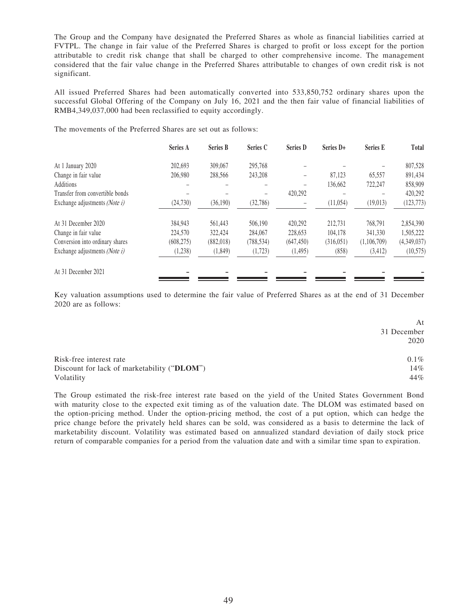The Group and the Company have designated the Preferred Shares as whole as financial liabilities carried at FVTPL. The change in fair value of the Preferred Shares is charged to profit or loss except for the portion attributable to credit risk change that shall be charged to other comprehensive income. The management considered that the fair value change in the Preferred Shares attributable to changes of own credit risk is not significant.

All issued Preferred Shares had been automatically converted into 533,850,752 ordinary shares upon the successful Global Offering of the Company on July 16, 2021 and the then fair value of financial liabilities of RMB4,349,037,000 had been reclassified to equity accordingly.

The movements of the Preferred Shares are set out as follows:

|                                        | Series A   | <b>Series B</b> | Series C   | <b>Series D</b> | Series D+  | <b>Series E</b> | Total       |
|----------------------------------------|------------|-----------------|------------|-----------------|------------|-----------------|-------------|
| At 1 January 2020                      | 202,693    | 309,067         | 295,768    |                 |            |                 | 807,528     |
| Change in fair value                   | 206,980    | 288,566         | 243,208    | -               | 87.123     | 65.557          | 891,434     |
| Additions                              |            |                 |            | -               | 136,662    | 722,247         | 858,909     |
| Transfer from convertible bonds        |            |                 |            | 420,292         |            |                 | 420.292     |
| Exchange adjustments ( <i>Note i</i> ) | (24, 730)  | (36,190)        | (32, 786)  |                 | (11, 054)  | (19,013)        | (123, 773)  |
| At 31 December 2020                    | 384,943    | 561,443         | 506,190    | 420,292         | 212,731    | 768,791         | 2,854,390   |
| Change in fair value                   | 224,570    | 322,424         | 284,067    | 228,653         | 104.178    | 341,330         | 1,505,222   |
| Conversion into ordinary shares        | (608, 275) | (882, 018)      | (788, 534) | (647, 450)      | (316, 051) | (1,106,709)     | (4,349,037) |
| Exchange adjustments (Note i)          | (1,238)    | (1, 849)        | (1, 723)   | (1,495)         | (858)      | (3, 412)        | (10, 575)   |
| At 31 December 2021                    |            |                 |            |                 |            |                 |             |

Key valuation assumptions used to determine the fair value of Preferred Shares as at the end of 31 December 2020 are as follows:

|                                             | At          |
|---------------------------------------------|-------------|
|                                             | 31 December |
|                                             | 2020        |
| Risk-free interest rate                     | $0.1\%$     |
| Discount for lack of marketability ("DLOM") | 14%         |
| Volatility                                  | 44%         |

The Group estimated the risk-free interest rate based on the yield of the United States Government Bond with maturity close to the expected exit timing as of the valuation date. The DLOM was estimated based on the option-pricing method. Under the option-pricing method, the cost of a put option, which can hedge the price change before the privately held shares can be sold, was considered as a basis to determine the lack of marketability discount. Volatility was estimated based on annualized standard deviation of daily stock price return of comparable companies for a period from the valuation date and with a similar time span to expiration.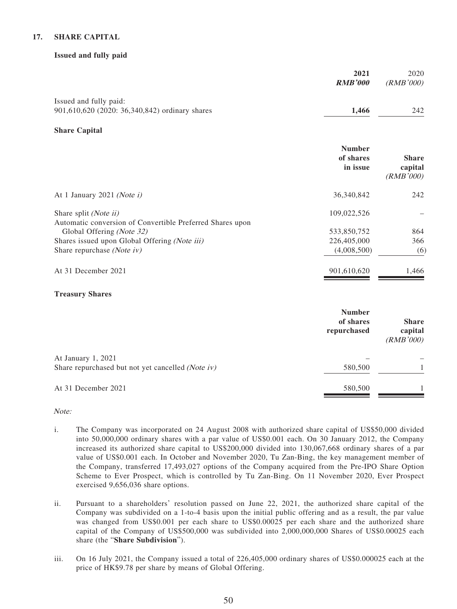### **17. SHARE CAPITAL**

#### **Issued and fully paid**

|                                                                           | 2021<br><b>RMB'000</b>                    | 2020<br>(RMB'000)                    |
|---------------------------------------------------------------------------|-------------------------------------------|--------------------------------------|
| Issued and fully paid:                                                    |                                           |                                      |
| 901,610,620 (2020: 36,340,842) ordinary shares                            | 1,466                                     | 242                                  |
| <b>Share Capital</b>                                                      |                                           |                                      |
|                                                                           | <b>Number</b><br>of shares<br>in issue    | <b>Share</b><br>capital<br>(RMB'000) |
| At 1 January 2021 (Note $i$ )                                             | 36,340,842                                | 242                                  |
| Share split (Note ii)                                                     | 109,022,526                               |                                      |
| Automatic conversion of Convertible Preferred Shares upon                 |                                           |                                      |
| Global Offering (Note 32)                                                 | 533,850,752                               | 864                                  |
| Shares issued upon Global Offering (Note iii)                             | 226,405,000                               | 366                                  |
| Share repurchase (Note iv)                                                | (4,008,500)                               | (6)                                  |
| At 31 December 2021                                                       | 901,610,620                               | 1,466                                |
| <b>Treasury Shares</b>                                                    |                                           |                                      |
|                                                                           | <b>Number</b><br>of shares<br>repurchased | <b>Share</b><br>capital<br>(RMB'000) |
| At January 1, 2021                                                        |                                           |                                      |
| $\chi_{\text{bare}}$ repurchased but not yet cancelled $(N_{\text{obs}})$ | 580500                                    |                                      |

| Share repurchased but not yet cancelled (Note iv) | 580,500 |  |
|---------------------------------------------------|---------|--|
| At 31 December 2021                               | 580,500 |  |

Note:

- i. The Company was incorporated on 24 August 2008 with authorized share capital of US\$50,000 divided into 50,000,000 ordinary shares with a par value of US\$0.001 each. On 30 January 2012, the Company increased its authorized share capital to US\$200,000 divided into 130,067,668 ordinary shares of a par value of US\$0.001 each. In October and November 2020, Tu Zan-Bing, the key management member of the Company, transferred 17,493,027 options of the Company acquired from the Pre-IPO Share Option Scheme to Ever Prospect, which is controlled by Tu Zan-Bing. On 11 November 2020, Ever Prospect exercised 9,656,036 share options.
- ii. Pursuant to a shareholders' resolution passed on June 22, 2021, the authorized share capital of the Company was subdivided on a 1-to-4 basis upon the initial public offering and as a result, the par value was changed from US\$0.001 per each share to US\$0.00025 per each share and the authorized share capital of the Company of US\$500,000 was subdivided into 2,000,000,000 Shares of US\$0.00025 each share (the "**Share Subdivision**").
- iii. On 16 July 2021, the Company issued a total of 226,405,000 ordinary shares of US\$0.000025 each at the price of HK\$9.78 per share by means of Global Offering.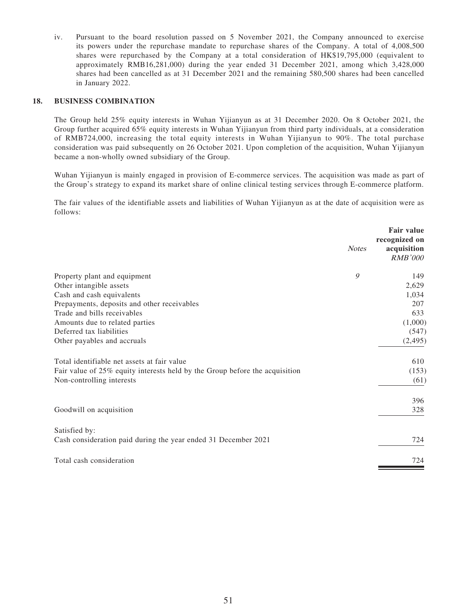iv. Pursuant to the board resolution passed on 5 November 2021, the Company announced to exercise its powers under the repurchase mandate to repurchase shares of the Company. A total of 4,008,500 shares were repurchased by the Company at a total consideration of HK\$19,795,000 (equivalent to approximately RMB16,281,000) during the year ended 31 December 2021, among which 3,428,000 shares had been cancelled as at 31 December 2021 and the remaining 580,500 shares had been cancelled in January 2022.

#### **18. BUSINESS COMBINATION**

The Group held 25% equity interests in Wuhan Yijianyun as at 31 December 2020. On 8 October 2021, the Group further acquired 65% equity interests in Wuhan Yijianyun from third party individuals, at a consideration of RMB724,000, increasing the total equity interests in Wuhan Yijianyun to 90%. The total purchase consideration was paid subsequently on 26 October 2021. Upon completion of the acquisition, Wuhan Yijianyun became a non-wholly owned subsidiary of the Group.

Wuhan Yijianyun is mainly engaged in provision of E-commerce services. The acquisition was made as part of the Group's strategy to expand its market share of online clinical testing services through E-commerce platform.

The fair values of the identifiable assets and liabilities of Wuhan Yijianyun as at the date of acquisition were as follows:

| <b>Notes</b>                                                                | <b>Fair value</b><br>recognized on<br>acquisition<br><b>RMB'000</b> |
|-----------------------------------------------------------------------------|---------------------------------------------------------------------|
| 9<br>Property plant and equipment                                           | 149                                                                 |
| Other intangible assets                                                     | 2,629                                                               |
| Cash and cash equivalents                                                   | 1,034                                                               |
| Prepayments, deposits and other receivables                                 | 207                                                                 |
| Trade and bills receivables                                                 | 633                                                                 |
| Amounts due to related parties                                              | (1,000)                                                             |
| Deferred tax liabilities                                                    | (547)                                                               |
| Other payables and accruals                                                 | (2, 495)                                                            |
| Total identifiable net assets at fair value                                 | 610                                                                 |
| Fair value of 25% equity interests held by the Group before the acquisition | (153)                                                               |
| Non-controlling interests                                                   | (61)                                                                |
|                                                                             | 396                                                                 |
| Goodwill on acquisition                                                     | 328                                                                 |
| Satisfied by:                                                               |                                                                     |
| Cash consideration paid during the year ended 31 December 2021              | 724                                                                 |
| Total cash consideration                                                    | 724                                                                 |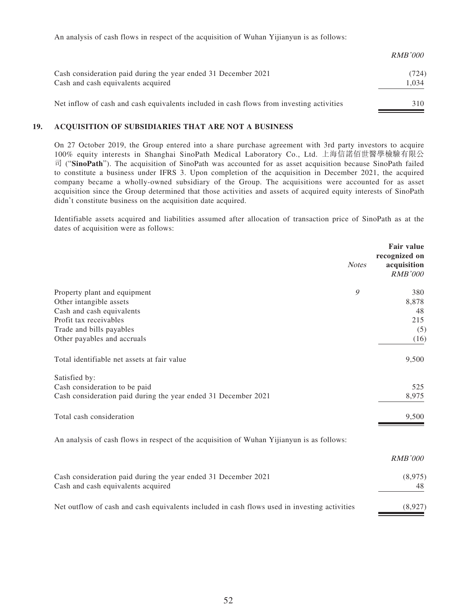An analysis of cash flows in respect of the acquisition of Wuhan Yijianyun is as follows:

|                                                                                          | <i>RMB'000</i> |
|------------------------------------------------------------------------------------------|----------------|
| Cash consideration paid during the year ended 31 December 2021                           | (724)          |
| Cash and cash equivalents acquired                                                       | 1.034          |
| Net inflow of cash and cash equivalents included in cash flows from investing activities | 310            |

### **19. ACQUISITION OF SUBSIDIARIES THAT ARE NOT A BUSINESS**

On 27 October 2019, the Group entered into a share purchase agreement with 3rd party investors to acquire 100% equity interests in Shanghai SinoPath Medical Laboratory Co., Ltd. 上海信諾佰世醫學檢驗有限公 司 ("**SinoPath**"). The acquisition of SinoPath was accounted for as asset acquisition because SinoPath failed to constitute a business under IFRS 3. Upon completion of the acquisition in December 2021, the acquired company became a wholly-owned subsidiary of the Group. The acquisitions were accounted for as asset acquisition since the Group determined that those activities and assets of acquired equity interests of SinoPath didn't constitute business on the acquisition date acquired.

Identifiable assets acquired and liabilities assumed after allocation of transaction price of SinoPath as at the dates of acquisition were as follows:

| <b>Fair value</b><br>recognized on<br>acquisition<br><i>RMB'000</i> |
|---------------------------------------------------------------------|
| 380                                                                 |
| 8,878                                                               |
| 48                                                                  |
| 215                                                                 |
| (5)                                                                 |
| (16)                                                                |
| 9,500                                                               |
|                                                                     |
| 525                                                                 |
| 8,975                                                               |
| 9,500                                                               |
|                                                                     |
| <b>RMB'000</b>                                                      |
| (8,975)                                                             |
| 48                                                                  |
| (8,927)                                                             |
|                                                                     |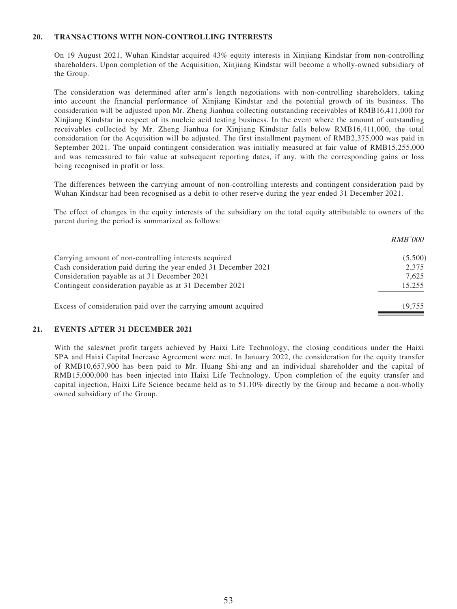#### **20. TRANSACTIONS WITH NON-CONTROLLING INTERESTS**

On 19 August 2021, Wuhan Kindstar acquired 43% equity interests in Xinjiang Kindstar from non-controlling shareholders. Upon completion of the Acquisition, Xinjiang Kindstar will become a wholly-owned subsidiary of the Group.

The consideration was determined after arm's length negotiations with non-controlling shareholders, taking into account the financial performance of Xinjiang Kindstar and the potential growth of its business. The consideration will be adjusted upon Mr. Zheng Jianhua collecting outstanding receivables of RMB16,411,000 for Xinjiang Kindstar in respect of its nucleic acid testing business. In the event where the amount of outstanding receivables collected by Mr. Zheng Jianhua for Xinjiang Kindstar falls below RMB16,411,000, the total consideration for the Acquisition will be adjusted. The first installment payment of RMB2,375,000 was paid in September 2021. The unpaid contingent consideration was initially measured at fair value of RMB15,255,000 and was remeasured to fair value at subsequent reporting dates, if any, with the corresponding gains or loss being recognised in profit or loss.

The differences between the carrying amount of non-controlling interests and contingent consideration paid by Wuhan Kindstar had been recognised as a debit to other reserve during the year ended 31 December 2021.

The effect of changes in the equity interests of the subsidiary on the total equity attributable to owners of the parent during the period is summarized as follows:

|                                                                | <i>RMB'000</i> |
|----------------------------------------------------------------|----------------|
| Carrying amount of non-controlling interests acquired          | (5,500)        |
| Cash consideration paid during the year ended 31 December 2021 | 2,375          |
| Consideration payable as at 31 December 2021                   | 7.625          |
| Contingent consideration payable as at 31 December 2021        | 15,255         |
| Excess of consideration paid over the carrying amount acquired | 19.755         |

### **21. EVENTS AFTER 31 DECEMBER 2021**

With the sales/net profit targets achieved by Haixi Life Technology, the closing conditions under the Haixi SPA and Haixi Capital Increase Agreement were met. In January 2022, the consideration for the equity transfer of RMB10,657,900 has been paid to Mr. Huang Shi-ang and an individual shareholder and the capital of RMB15,000,000 has been injected into Haixi Life Technology. Upon completion of the equity transfer and capital injection, Haixi Life Science became held as to 51.10% directly by the Group and became a non-wholly owned subsidiary of the Group.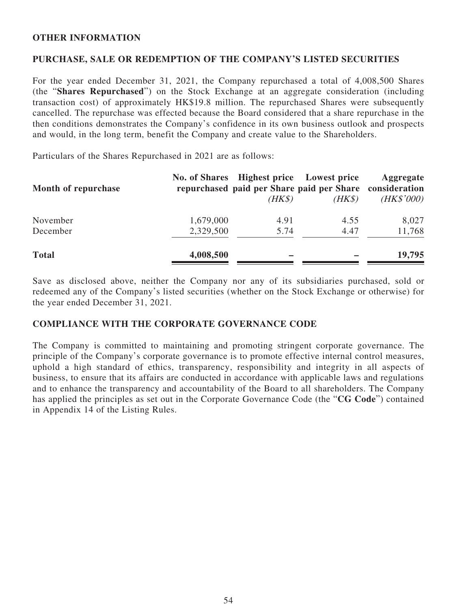## **OTHER INFORMATION**

## **PURCHASE, SALE OR REDEMPTION OF THE COMPANY'S LISTED SECURITIES**

For the year ended December 31, 2021, the Company repurchased a total of 4,008,500 Shares (the "**Shares Repurchased**") on the Stock Exchange at an aggregate consideration (including transaction cost) of approximately HK\$19.8 million. The repurchased Shares were subsequently cancelled. The repurchase was effected because the Board considered that a share repurchase in the then conditions demonstrates the Company's confidence in its own business outlook and prospects and would, in the long term, benefit the Company and create value to the Shareholders.

Particulars of the Shares Repurchased in 2021 are as follows:

| Month of repurchase |           | No. of Shares Highest price Lowest price | repurchased paid per Share paid per Share consideration | Aggregate  |
|---------------------|-----------|------------------------------------------|---------------------------------------------------------|------------|
|                     |           | $(HK\$                                   | $(HK\$                                                  | (HK\$'000) |
| November            | 1,679,000 | 4.91                                     | 4.55                                                    | 8,027      |
| December            | 2,329,500 | 5.74                                     | 4.47                                                    | 11,768     |
| <b>Total</b>        | 4,008,500 |                                          |                                                         | 19,795     |
|                     |           |                                          |                                                         |            |

Save as disclosed above, neither the Company nor any of its subsidiaries purchased, sold or redeemed any of the Company's listed securities (whether on the Stock Exchange or otherwise) for the year ended December 31, 2021.

## **COMPLIANCE WITH THE CORPORATE GOVERNANCE CODE**

The Company is committed to maintaining and promoting stringent corporate governance. The principle of the Company's corporate governance is to promote effective internal control measures, uphold a high standard of ethics, transparency, responsibility and integrity in all aspects of business, to ensure that its affairs are conducted in accordance with applicable laws and regulations and to enhance the transparency and accountability of the Board to all shareholders. The Company has applied the principles as set out in the Corporate Governance Code (the "**CG Code**") contained in Appendix 14 of the Listing Rules.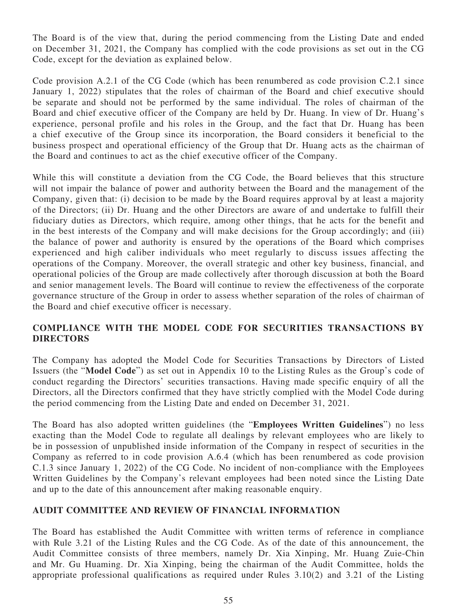The Board is of the view that, during the period commencing from the Listing Date and ended on December 31, 2021, the Company has complied with the code provisions as set out in the CG Code, except for the deviation as explained below.

Code provision A.2.1 of the CG Code (which has been renumbered as code provision C.2.1 since January 1, 2022) stipulates that the roles of chairman of the Board and chief executive should be separate and should not be performed by the same individual. The roles of chairman of the Board and chief executive officer of the Company are held by Dr. Huang. In view of Dr. Huang's experience, personal profile and his roles in the Group, and the fact that Dr. Huang has been a chief executive of the Group since its incorporation, the Board considers it beneficial to the business prospect and operational efficiency of the Group that Dr. Huang acts as the chairman of the Board and continues to act as the chief executive officer of the Company.

While this will constitute a deviation from the CG Code, the Board believes that this structure will not impair the balance of power and authority between the Board and the management of the Company, given that: (i) decision to be made by the Board requires approval by at least a majority of the Directors; (ii) Dr. Huang and the other Directors are aware of and undertake to fulfill their fiduciary duties as Directors, which require, among other things, that he acts for the benefit and in the best interests of the Company and will make decisions for the Group accordingly; and (iii) the balance of power and authority is ensured by the operations of the Board which comprises experienced and high caliber individuals who meet regularly to discuss issues affecting the operations of the Company. Moreover, the overall strategic and other key business, financial, and operational policies of the Group are made collectively after thorough discussion at both the Board and senior management levels. The Board will continue to review the effectiveness of the corporate governance structure of the Group in order to assess whether separation of the roles of chairman of the Board and chief executive officer is necessary.

# **COMPLIANCE WITH THE MODEL CODE FOR SECURITIES TRANSACTIONS BY DIRECTORS**

The Company has adopted the Model Code for Securities Transactions by Directors of Listed Issuers (the "**Model Code**") as set out in Appendix 10 to the Listing Rules as the Group's code of conduct regarding the Directors' securities transactions. Having made specific enquiry of all the Directors, all the Directors confirmed that they have strictly complied with the Model Code during the period commencing from the Listing Date and ended on December 31, 2021.

The Board has also adopted written guidelines (the "**Employees Written Guidelines**") no less exacting than the Model Code to regulate all dealings by relevant employees who are likely to be in possession of unpublished inside information of the Company in respect of securities in the Company as referred to in code provision A.6.4 (which has been renumbered as code provision C.1.3 since January 1, 2022) of the CG Code. No incident of non-compliance with the Employees Written Guidelines by the Company's relevant employees had been noted since the Listing Date and up to the date of this announcement after making reasonable enquiry.

## **AUDIT COMMITTEE AND REVIEW OF FINANCIAL INFORMATION**

The Board has established the Audit Committee with written terms of reference in compliance with Rule 3.21 of the Listing Rules and the CG Code. As of the date of this announcement, the Audit Committee consists of three members, namely Dr. Xia Xinping, Mr. Huang Zuie-Chin and Mr. Gu Huaming. Dr. Xia Xinping, being the chairman of the Audit Committee, holds the appropriate professional qualifications as required under Rules 3.10(2) and 3.21 of the Listing